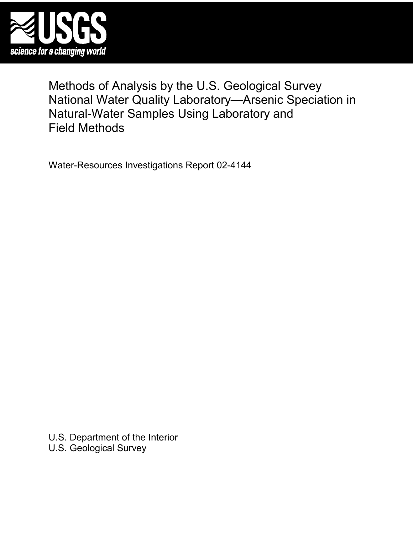

Methods of Analysis by the U.S. Geological Survey National Water Quality Laboratory—Arsenic Speciation in Natural-Water Samples Using Laboratory and Field Methods

Water-Resources Investigations Report 02-4144

U.S. Department of the Interior U.S. Geological Survey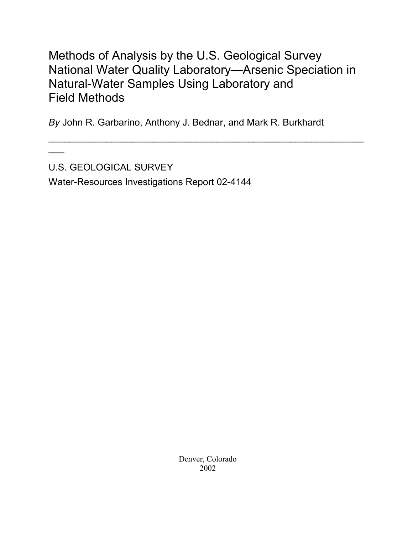# Methods of Analysis by the U.S. Geological Survey National Water Quality Laboratory—Arsenic Speciation in Natural-Water Samples Using Laboratory and Field Methods

 $\mathcal{L}_\text{max}$  , and the contract of the contract of the contract of the contract of the contract of the contract of the contract of the contract of the contract of the contract of the contract of the contract of the contr

*By* John R. Garbarino, Anthony J. Bednar, and Mark R. Burkhardt

U.S. GEOLOGICAL SURVEY

 $\overline{\phantom{a}}$ 

Water-Resources Investigations Report 02-4144

Denver, Colorado 2002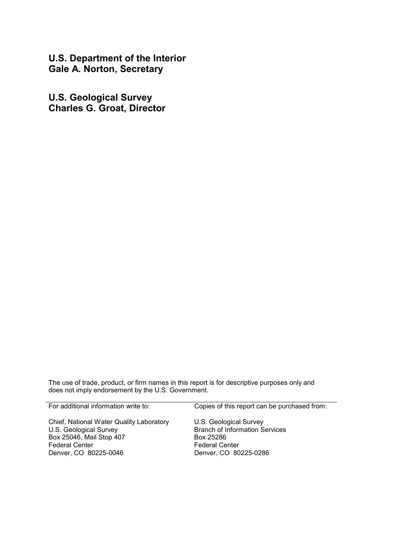**U.S. Department of the Interior Gale A. Norton, Secretary** 

**U.S. Geological Survey Charles G. Groat, Director**

The use of trade, product, or firm names in this report is for descriptive purposes only and does not imply endorsement by the U.S. Government.

| For additional information write to:                                                                                                             | Copies of this report can be purchased from:                                                                                   |
|--------------------------------------------------------------------------------------------------------------------------------------------------|--------------------------------------------------------------------------------------------------------------------------------|
| Chief, National Water Quality Laboratory<br>U.S. Geological Survey<br>Box 25046, Mail Stop 407<br><b>Federal Center</b><br>Denver, CO 80225-0046 | U.S. Geological Survey<br><b>Branch of Information Services</b><br>Box 25286<br><b>Federal Center</b><br>Denver, CO 80225-0286 |
|                                                                                                                                                  |                                                                                                                                |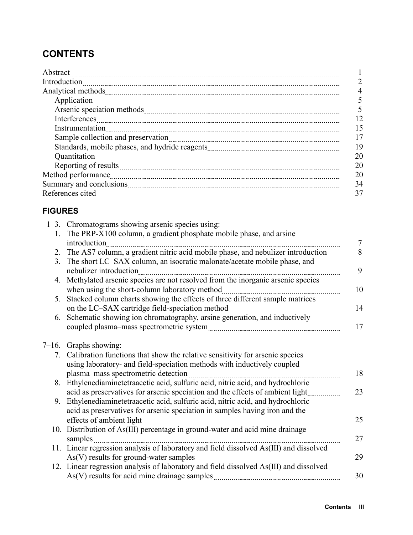## **CONTENTS**

| Abstract                                                                                                                                                                                                                             |    |
|--------------------------------------------------------------------------------------------------------------------------------------------------------------------------------------------------------------------------------------|----|
|                                                                                                                                                                                                                                      |    |
| Analytical methods <b>contract to the contract of the contract of the contract of the contract of the contract of the contract of the contract of the contract of the contract of the contract of the contract of the contract o</b> |    |
| Application                                                                                                                                                                                                                          |    |
|                                                                                                                                                                                                                                      |    |
|                                                                                                                                                                                                                                      | 12 |
| Instrumentation                                                                                                                                                                                                                      | 15 |
|                                                                                                                                                                                                                                      | 17 |
|                                                                                                                                                                                                                                      | 19 |
| Quantitation                                                                                                                                                                                                                         | 20 |
|                                                                                                                                                                                                                                      | 20 |
| Method performance                                                                                                                                                                                                                   | 20 |
|                                                                                                                                                                                                                                      | 34 |
|                                                                                                                                                                                                                                      | 37 |

### **FIGURES**

|                | 1–3. Chromatograms showing arsenic species using:                                      |
|----------------|----------------------------------------------------------------------------------------|
|                | 1. The PRP-X100 column, a gradient phosphate mobile phase, and arsine                  |
|                | introduction<br>$\tau$                                                                 |
| 2.             | The AS7 column, a gradient nitric acid mobile phase, and nebulizer introduction<br>8   |
| 3 <sub>1</sub> | The short LC-SAX column, an isocratic malonate/acetate mobile phase, and               |
|                | 9<br>nebulizer introduction                                                            |
| 4.             | Methylated arsenic species are not resolved from the inorganic arsenic species         |
|                | when using the short-column laboratory method<br>10                                    |
| 5.             | Stacked column charts showing the effects of three different sample matrices           |
|                | 14                                                                                     |
|                | 6. Schematic showing ion chromatography, arsine generation, and inductively            |
|                | 17                                                                                     |
|                |                                                                                        |
|                | $7-16$ . Graphs showing:                                                               |
|                | 7. Calibration functions that show the relative sensitivity for arsenic species        |
|                | using laboratory- and field-speciation methods with inductively coupled                |
|                | 18<br>plasma–mass spectrometric detection                                              |
|                | 8. Ethylenediaminetetraacetic acid, sulfuric acid, nitric acid, and hydrochloric       |
|                | acid as preservatives for arsenic speciation and the effects of ambient light<br>23    |
|                | 9. Ethylenediaminetetraacetic acid, sulfuric acid, nitric acid, and hydrochloric       |
|                | acid as preservatives for arsenic speciation in samples having iron and the            |
|                | effects of ambient light<br>25                                                         |
|                | 10. Distribution of As(III) percentage in ground-water and acid mine drainage          |
|                | samples<br>27                                                                          |
|                | 11. Linear regression analysis of laboratory and field dissolved As(III) and dissolved |
|                | As(V) results for ground-water samples<br>29                                           |
|                | 12. Linear regression analysis of laboratory and field dissolved As(III) and dissolved |
|                | 30                                                                                     |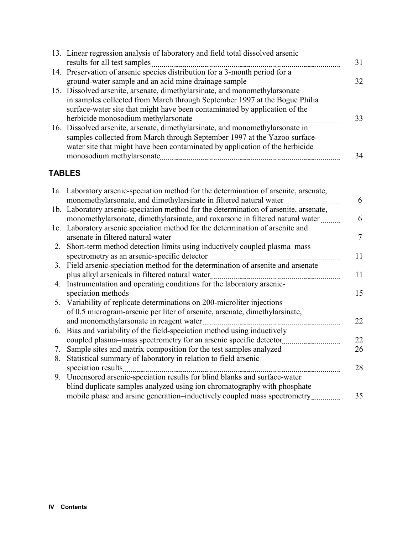| 13. Linear regression analysis of laboratory and field total dissolved arsenic |    |
|--------------------------------------------------------------------------------|----|
| results for all test samples                                                   | 31 |
| 14. Preservation of arsenic species distribution for a 3-month period for a    |    |
| ground-water sample and an acid mine drainage sample                           | 32 |
| 15. Dissolved arsenite, arsenate, dimethylarsinate, and monomethylarsonate     |    |
| in samples collected from March through September 1997 at the Bogue Philia     |    |
| surface-water site that might have been contaminated by application of the     |    |
| herbicide monosodium methylarsonate                                            | 33 |
| 16. Dissolved arsenite, arsenate, dimethylarsinate, and monomethylarsonate in  |    |
| samples collected from March through September 1997 at the Yazoo surface-      |    |
| water site that might have been contaminated by application of the herbicide   |    |
| monosodium methylarsonate                                                      | 34 |

## **TABLES**

|    | 1a. Laboratory arsenic-speciation method for the determination of arsenite, arsenate, |    |
|----|---------------------------------------------------------------------------------------|----|
|    | monomethylarsonate, and dimethylarsinate in filtered natural water                    | 6  |
|    | 1b. Laboratory arsenic-speciation method for the determination of arsenite, arsenate, |    |
|    | monomethylarsonate, dimethylarsinate, and roxarsone in filtered natural water         | 6  |
|    | 1c. Laboratory arsenic speciation method for the determination of arsenite and        |    |
|    | arsenate in filtered natural water                                                    | 7  |
|    | 2. Short-term method detection limits using inductively coupled plasma–mass           |    |
|    | spectrometry as an arsenic-specific detector                                          | 11 |
| 3. | Field arsenic-speciation method for the determination of arsenite and arsenate        |    |
|    | plus alkyl arsenicals in filtered natural water                                       | 11 |
|    | 4. Instrumentation and operating conditions for the laboratory arsenic-               |    |
|    | speciation methods                                                                    | 15 |
|    | 5. Variability of replicate determinations on 200-microliter injections               |    |
|    | of 0.5 microgram-arsenic per liter of arsenite, arsenate, dimethylarsinate,           |    |
|    | and monomethylarsonate in reagent water                                               | 22 |
|    | 6. Bias and variability of the field-speciation method using inductively              |    |
|    | coupled plasma–mass spectrometry for an arsenic specific detector                     | 22 |
| 7. | Sample sites and matrix composition for the test samples analyzed                     | 26 |
| 8. | Statistical summary of laboratory in relation to field arsenic                        |    |
|    | speciation results                                                                    | 28 |
|    | 9. Uncensored arsenic-speciation results for blind blanks and surface-water           |    |
|    | blind duplicate samples analyzed using ion chromatography with phosphate              |    |
|    | mobile phase and arsine generation-inductively coupled mass spectrometry              | 35 |
|    |                                                                                       |    |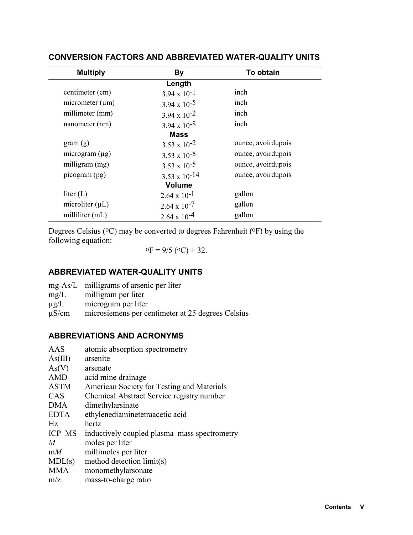| <b>Multiply</b>      | By                     | To obtain          |
|----------------------|------------------------|--------------------|
|                      | Length                 |                    |
| centimeter (cm)      | $3.94 \times 10^{-1}$  | inch               |
| micrometer $(\mu m)$ | $3.94 \times 10^{-5}$  | inch               |
| millimeter (mm)      | $3.94 \times 10^{-2}$  | inch               |
| nanometer (nm)       | $3.94 \times 10^{-8}$  | inch               |
|                      | <b>Mass</b>            |                    |
| gram(g)              | $3.53 \times 10^{-2}$  | ounce, avoirdupois |
| microgram $(\mu g)$  | $3.53 \times 10^{-8}$  | ounce, avoirdupois |
| milligram (mg)       | $3.53 \times 10^{-5}$  | ounce, avoirdupois |
| picogram (pg)        | $3.53 \times 10^{-14}$ | ounce, avoirdupois |
|                      | <b>Volume</b>          |                    |
| liter $(L)$          | $2.64 \times 10^{-1}$  | gallon             |
| microliter $(\mu L)$ | $2.64 \times 10^{-7}$  | gallon             |
| milliliter (mL)      | $2.64 \times 10^{-4}$  | gallon             |

### **CONVERSION FACTORS AND ABBREVIATED WATER-QUALITY UNITS**

Degrees Celsius ( $\rm ^{o}C$ ) may be converted to degrees Fahrenheit ( $\rm ^{o}F$ ) by using the following equation:

 $\text{o}_F = 9/5 \text{ (}^{\text{o}}\text{C)} + 32.$ 

### **ABBREVIATED WATER-QUALITY UNITS**

| $mg-As/L$ | milligrams of arsenic per liter |  |
|-----------|---------------------------------|--|
|           |                                 |  |

- mg/L milligram per liter
- $\mu$ g/L microgram per liter<br> $\mu$ S/cm microsiemens per ce
- microsiemens per centimeter at 25 degrees Celsius

### **ABBREVIATIONS AND ACRONYMS**

| As(III)<br>arsenite<br>As(V)<br>arsenate<br><b>AMD</b><br>acid mine drainage<br><b>ASTM</b><br>American Society for Testing and Materials<br>Chemical Abstract Service registry number<br><b>CAS</b><br><b>DMA</b><br>dimethylarsinate<br><b>EDTA</b><br>ethylenediaminetetraacetic acid<br>Hz.<br>hertz<br><b>ICP-MS</b><br>$\overline{M}$<br>moles per liter<br>millimoles per liter<br>mM<br>MDL(s)<br>method detection limit(s)<br><b>MMA</b><br>monomethylarsonate<br>m/z<br>mass-to-charge ratio | AAS | atomic absorption spectrometry               |
|--------------------------------------------------------------------------------------------------------------------------------------------------------------------------------------------------------------------------------------------------------------------------------------------------------------------------------------------------------------------------------------------------------------------------------------------------------------------------------------------------------|-----|----------------------------------------------|
|                                                                                                                                                                                                                                                                                                                                                                                                                                                                                                        |     |                                              |
|                                                                                                                                                                                                                                                                                                                                                                                                                                                                                                        |     |                                              |
|                                                                                                                                                                                                                                                                                                                                                                                                                                                                                                        |     |                                              |
|                                                                                                                                                                                                                                                                                                                                                                                                                                                                                                        |     |                                              |
|                                                                                                                                                                                                                                                                                                                                                                                                                                                                                                        |     |                                              |
|                                                                                                                                                                                                                                                                                                                                                                                                                                                                                                        |     |                                              |
|                                                                                                                                                                                                                                                                                                                                                                                                                                                                                                        |     |                                              |
|                                                                                                                                                                                                                                                                                                                                                                                                                                                                                                        |     |                                              |
|                                                                                                                                                                                                                                                                                                                                                                                                                                                                                                        |     | inductively coupled plasma–mass spectrometry |
|                                                                                                                                                                                                                                                                                                                                                                                                                                                                                                        |     |                                              |
|                                                                                                                                                                                                                                                                                                                                                                                                                                                                                                        |     |                                              |
|                                                                                                                                                                                                                                                                                                                                                                                                                                                                                                        |     |                                              |
|                                                                                                                                                                                                                                                                                                                                                                                                                                                                                                        |     |                                              |
|                                                                                                                                                                                                                                                                                                                                                                                                                                                                                                        |     |                                              |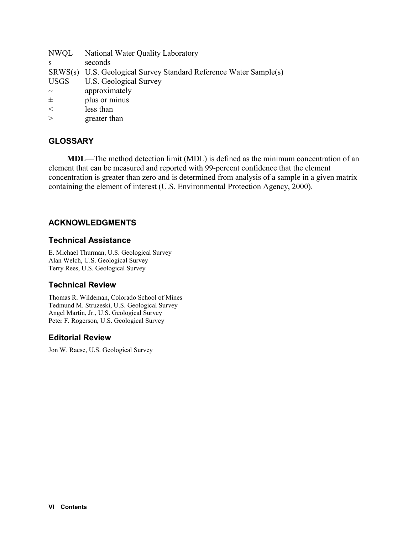| SRWS(s) U.S. Geological Survey Standard Reference Water Sample(s) |
|-------------------------------------------------------------------|
|                                                                   |
|                                                                   |
|                                                                   |
|                                                                   |
|                                                                   |
|                                                                   |

### **GLOSSARY**

**MDL**—The method detection limit (MDL) is defined as the minimum concentration of an element that can be measured and reported with 99-percent confidence that the element concentration is greater than zero and is determined from analysis of a sample in a given matrix containing the element of interest (U.S. Environmental Protection Agency, 2000).

### **ACKNOWLEDGMENTS**

### **Technical Assistance**

E. Michael Thurman, U.S. Geological Survey Alan Welch, U.S. Geological Survey Terry Rees, U.S. Geological Survey

### **Technical Review**

Thomas R. Wildeman, Colorado School of Mines Tedmund M. Struzeski, U.S. Geological Survey Angel Martin, Jr., U.S. Geological Survey Peter F. Rogerson, U.S. Geological Survey

### **Editorial Review**

Jon W. Raese, U.S. Geological Survey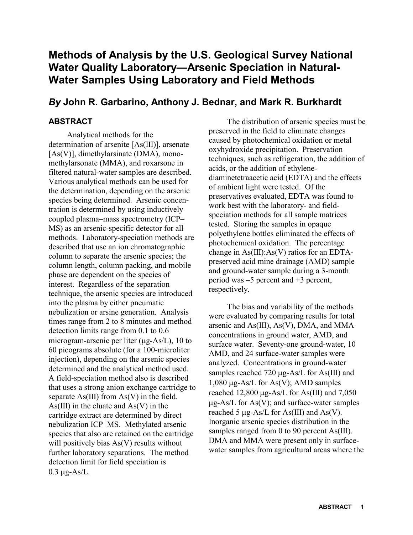## **Methods of Analysis by the U.S. Geological Survey National Water Quality Laboratory—Arsenic Speciation in Natural-Water Samples Using Laboratory and Field Methods**

### *By* **John R. Garbarino, Anthony J. Bednar, and Mark R. Burkhardt**

### **ABSTRACT**

Analytical methods for the determination of arsenite [As(III)], arsenate [As(V)], dimethylarsinate (DMA), monomethylarsonate (MMA), and roxarsone in filtered natural-water samples are described. Various analytical methods can be used for the determination, depending on the arsenic species being determined. Arsenic concentration is determined by using inductively coupled plasma–mass spectrometry (ICP– MS) as an arsenic-specific detector for all methods. Laboratory-speciation methods are described that use an ion chromatographic column to separate the arsenic species; the column length, column packing, and mobile phase are dependent on the species of interest. Regardless of the separation technique, the arsenic species are introduced into the plasma by either pneumatic nebulization or arsine generation. Analysis times range from 2 to 8 minutes and method detection limits range from 0.1 to 0.6 microgram-arsenic per liter ( $\mu$ g-As/L), 10 to 60 picograms absolute (for a 100-microliter injection), depending on the arsenic species determined and the analytical method used. A field-speciation method also is described that uses a strong anion exchange cartridge to separate  $As(III)$  from  $As(V)$  in the field.  $As(III)$  in the eluate and  $As(V)$  in the cartridge extract are determined by direct nebulization ICP–MS. Methylated arsenic species that also are retained on the cartridge will positively bias As(V) results without further laboratory separations. The method detection limit for field speciation is  $0.3 \text{ µg-As/L}.$ 

The distribution of arsenic species must be preserved in the field to eliminate changes caused by photochemical oxidation or metal oxyhydroxide precipitation. Preservation techniques, such as refrigeration, the addition of acids, or the addition of ethylenediaminetetraacetic acid (EDTA) and the effects of ambient light were tested. Of the preservatives evaluated, EDTA was found to work best with the laboratory- and fieldspeciation methods for all sample matrices tested. Storing the samples in opaque polyethylene bottles eliminated the effects of photochemical oxidation. The percentage change in As(III):As(V) ratios for an EDTApreserved acid mine drainage (AMD) sample and ground-water sample during a 3-month period was –5 percent and +3 percent, respectively.

The bias and variability of the methods were evaluated by comparing results for total arsenic and As(III), As(V), DMA, and MMA concentrations in ground water, AMD, and surface water. Seventy-one ground-water, 10 AMD, and 24 surface-water samples were analyzed. Concentrations in ground-water samples reached 720  $\mu$ g-As/L for As(III) and 1,080  $\mu$ g-As/L for As(V); AMD samples reached 12,800  $\mu$ g-As/L for As(III) and 7,050  $\mu$ g-As/L for As(V); and surface-water samples reached 5  $\mu$ g-As/L for As(III) and As(V). Inorganic arsenic species distribution in the samples ranged from 0 to 90 percent As(III). DMA and MMA were present only in surfacewater samples from agricultural areas where the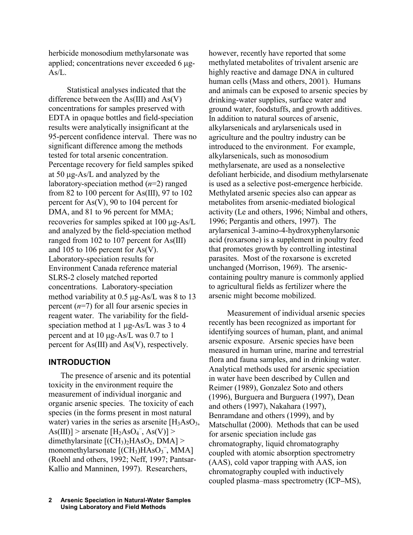herbicide monosodium methylarsonate was applied; concentrations never exceeded  $6 \mu$ g- $As/L$ .

Statistical analyses indicated that the difference between the  $As(III)$  and  $As(V)$ concentrations for samples preserved with EDTA in opaque bottles and field-speciation results were analytically insignificant at the 95-percent confidence interval. There was no significant difference among the methods tested for total arsenic concentration. Percentage recovery for field samples spiked at 50  $\mu$ g-As/L and analyzed by the laboratory-speciation method (*n*=2) ranged from 82 to 100 percent for As(III), 97 to 102 percent for As(V), 90 to 104 percent for DMA, and 81 to 96 percent for MMA; recoveries for samples spiked at  $100 \mu$ g-As/L and analyzed by the field-speciation method ranged from 102 to 107 percent for As(III) and 105 to 106 percent for As(V). Laboratory-speciation results for Environment Canada reference material SLRS-2 closely matched reported concentrations. Laboratory-speciation method variability at  $0.5 \mu$ g-As/L was 8 to 13 percent (*n*=7) for all four arsenic species in reagent water. The variability for the fieldspeciation method at 1  $\mu$ g-As/L was 3 to 4 percent and at  $10 \mu$ g-As/L was 0.7 to 1 percent for As(III) and As(V), respectively.

### **INTRODUCTION**

The presence of arsenic and its potential toxicity in the environment require the measurement of individual inorganic and organic arsenic species. The toxicity of each species (in the forms present in most natural water) varies in the series as arsenite  $[H<sub>3</sub>AsO<sub>3</sub>]$ As(III)] > arsenate  $[H_2AsO_4^-, As(V)]$  > dimethylarsinate  $[(CH<sub>3</sub>)<sub>2</sub>HAsO<sub>2</sub>, DMA]$ monomethylarsonate  $[(CH<sub>3</sub>)HAsO<sub>3</sub><sup>-</sup>, MMA]$ (Roehl and others, 1992; Neff, 1997; Pantsar-Kallio and Manninen, 1997). Researchers,

however, recently have reported that some methylated metabolites of trivalent arsenic are highly reactive and damage DNA in cultured human cells (Mass and others, 2001). Humans and animals can be exposed to arsenic species by drinking-water supplies, surface water and ground water, foodstuffs, and growth additives. In addition to natural sources of arsenic, alkylarsenicals and arylarsenicals used in agriculture and the poultry industry can be introduced to the environment. For example, alkylarsenicals, such as monosodium methylarsenate, are used as a nonselective defoliant herbicide, and disodium methylarsenate is used as a selective post-emergence herbicide. Methylated arsenic species also can appear as metabolites from arsenic-mediated biological activity (Le and others, 1996; Nimbal and others, 1996; Pergantis and others, 1997). The arylarsenical 3-amino-4-hydroxyphenylarsonic acid (roxarsone) is a supplement in poultry feed that promotes growth by controlling intestinal parasites. Most of the roxarsone is excreted unchanged (Morrison, 1969). The arseniccontaining poultry manure is commonly applied to agricultural fields as fertilizer where the arsenic might become mobilized.

Measurement of individual arsenic species recently has been recognized as important for identifying sources of human, plant, and animal arsenic exposure. Arsenic species have been measured in human urine, marine and terrestrial flora and fauna samples, and in drinking water. Analytical methods used for arsenic speciation in water have been described by Cullen and Reimer (1989), Gonzalez Soto and others (1996), Burguera and Burguera (1997), Dean and others (1997), Nakahara (1997), Benramdane and others (1999), and by Matschullat (2000). Methods that can be used for arsenic speciation include gas chromatography, liquid chromatography coupled with atomic absorption spectrometry (AAS), cold vapor trapping with AAS, ion chromatography coupled with inductively coupled plasma–mass spectrometry (ICP**–**MS),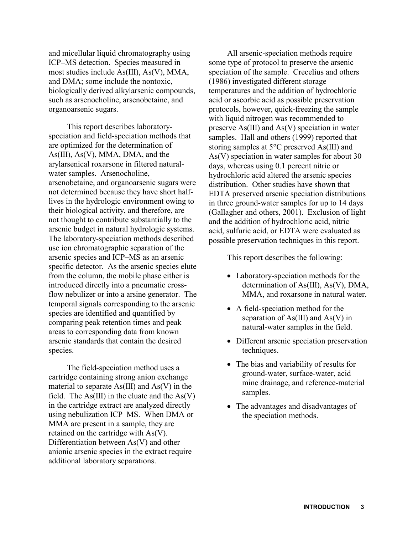and micellular liquid chromatography using ICP**–**MS detection. Species measured in most studies include As(III), As(V), MMA, and DMA; some include the nontoxic, biologically derived alkylarsenic compounds, such as arsenocholine, arsenobetaine, and organoarsenic sugars.

This report describes laboratoryspeciation and field-speciation methods that are optimized for the determination of As(III), As(V), MMA, DMA, and the arylarsenical roxarsone in filtered naturalwater samples. Arsenocholine, arsenobetaine, and organoarsenic sugars were not determined because they have short halflives in the hydrologic environment owing to their biological activity, and therefore, are not thought to contribute substantially to the arsenic budget in natural hydrologic systems. The laboratory-speciation methods described use ion chromatographic separation of the arsenic species and ICP**–**MS as an arsenic specific detector. As the arsenic species elute from the column, the mobile phase either is introduced directly into a pneumatic crossflow nebulizer or into a arsine generator. The temporal signals corresponding to the arsenic species are identified and quantified by comparing peak retention times and peak areas to corresponding data from known arsenic standards that contain the desired species.

The field-speciation method uses a cartridge containing strong anion exchange material to separate As(III) and As(V) in the field. The  $As(III)$  in the eluate and the  $As(V)$ in the cartridge extract are analyzed directly using nebulization ICP–MS. When DMA or MMA are present in a sample, they are retained on the cartridge with As(V). Differentiation between As(V) and other anionic arsenic species in the extract require additional laboratory separations.

All arsenic-speciation methods require some type of protocol to preserve the arsenic speciation of the sample. Crecelius and others (1986) investigated different storage temperatures and the addition of hydrochloric acid or ascorbic acid as possible preservation protocols, however, quick-freezing the sample with liquid nitrogen was recommended to preserve As(III) and As(V) speciation in water samples. Hall and others (1999) reported that storing samples at 5°C preserved As(III) and As(V) speciation in water samples for about 30 days, whereas using 0.1 percent nitric or hydrochloric acid altered the arsenic species distribution. Other studies have shown that EDTA preserved arsenic speciation distributions in three ground-water samples for up to 14 days (Gallagher and others, 2001). Exclusion of light and the addition of hydrochloric acid, nitric acid, sulfuric acid, or EDTA were evaluated as possible preservation techniques in this report.

This report describes the following:

- Laboratory-speciation methods for the determination of As(III), As(V), DMA, MMA, and roxarsone in natural water.
- A field-speciation method for the separation of As(III) and As(V) in natural-water samples in the field.
- Different arsenic speciation preservation techniques.
- The bias and variability of results for ground-water, surface-water, acid mine drainage, and reference-material samples.
- The advantages and disadvantages of the speciation methods.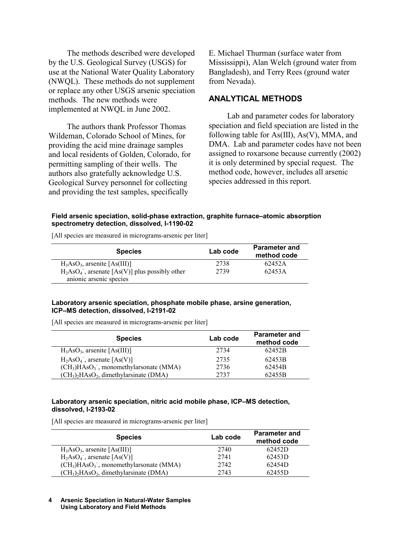The methods described were developed by the U.S. Geological Survey (USGS) for use at the National Water Quality Laboratory (NWQL). These methods do not supplement or replace any other USGS arsenic speciation methods. The new methods were implemented at NWQL in June 2002.

The authors thank Professor Thomas Wildeman, Colorado School of Mines, for providing the acid mine drainage samples and local residents of Golden, Colorado, for permitting sampling of their wells. The authors also gratefully acknowledge U.S. Geological Survey personnel for collecting and providing the test samples, specifically

E. Michael Thurman (surface water from Mississippi), Alan Welch (ground water from Bangladesh), and Terry Rees (ground water from Nevada).

### **ANALYTICAL METHODS**

Lab and parameter codes for laboratory speciation and field speciation are listed in the following table for As(III), As(V), MMA, and DMA. Lab and parameter codes have not been assigned to roxarsone because currently (2002) it is only determined by special request. The method code, however, includes all arsenic species addressed in this report.

**Field arsenic speciation, solid-phase extraction, graphite furnace–atomic absorption spectrometry detection, dissolved, I-1190-02** 

[All species are measured in micrograms-arsenic per liter]

| <b>Species</b>                                      | Lab code | <b>Parameter and</b><br>method code |
|-----------------------------------------------------|----------|-------------------------------------|
| $H_3AsO_3$ , arsenite [As(III)]                     | 2738     | 62452A                              |
| $H_2AsO_4^-$ , arsenate [As(V)] plus possibly other | 2739     | 62453A                              |
| anionic arsenic species                             |          |                                     |

#### **Laboratory arsenic speciation, phosphate mobile phase, arsine generation, ICP–MS detection, dissolved, I-2191-02**

[All species are measured in micrograms-arsenic per liter]

| <b>Species</b>                                                             | Lab code | <b>Parameter and</b><br>method code |
|----------------------------------------------------------------------------|----------|-------------------------------------|
| $H_3AsO_3$ , arsenite [As(III)]                                            | 2734     | 62452B                              |
| $H_2AsO_4^-$ , arsenate [As(V)]                                            | 2735     | 62453B                              |
| $(CH3)HAsO3$ , monomethylarsonate (MMA)                                    | 2736     | 62454B                              |
| (CH <sub>3</sub> ) <sub>2</sub> HAsO <sub>2</sub> , dimethylarsinate (DMA) | 2737     | 62455B                              |

#### **Laboratory arsenic speciation, nitric acid mobile phase, ICP–MS detection, dissolved, I-2193-02**

[All species are measured in micrograms-arsenic per liter]

| <b>Species</b>                          | Lab code | <b>Parameter and</b><br>method code |
|-----------------------------------------|----------|-------------------------------------|
| $H_3AsO_3$ , arsenite [As(III)]         | 2740     | 62452D                              |
| $H_2AsO_4^-$ , arsenate [As(V)]         | 2741     | 62453D                              |
| $(CH3)HAsO3$ , monomethylarsonate (MMA) | 2742     | 62454D                              |
| $(CH3)2HAsO2$ , dimethylarsinate (DMA)  | 2743     | 62455D                              |

#### **Arsenic Speciation in Natural-Water Samples 4 Using Laboratory and Field Methods**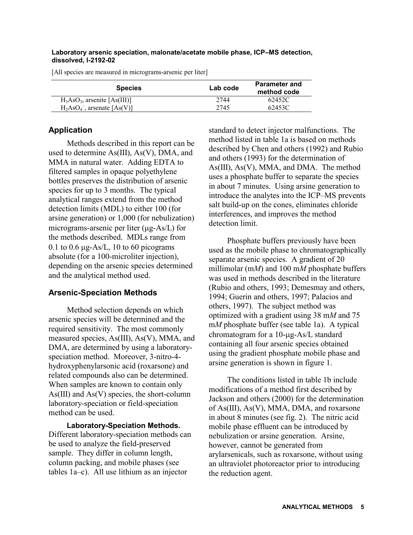#### **Laboratory arsenic speciation, malonate/acetate mobile phase, ICP–MS detection, dissolved, I-2192-02**

[All species are measured in micrograms-arsenic per liter]

| <b>Species</b>                  | Lab code | <b>Parameter and</b><br>method code |  |
|---------------------------------|----------|-------------------------------------|--|
| $H_3AsO_3$ , arsenite [As(III)] | 2744     | 62452C                              |  |
| $H_2AsO_4^-$ , arsenate [As(V)] | 2745     | 62453C                              |  |

### **Application**

Methods described in this report can be used to determine As(III), As(V), DMA, and MMA in natural water. Adding EDTA to filtered samples in opaque polyethylene bottles preserves the distribution of arsenic species for up to 3 months. The typical analytical ranges extend from the method detection limits (MDL) to either 100 (for arsine generation) or 1,000 (for nebulization) micrograms-arsenic per liter  $(\mu$ g-As/L) for the methods described. MDLs range from 0.1 to 0.6  $\mu$ g-As/L, 10 to 60 picograms absolute (for a 100-microliter injection), depending on the arsenic species determined and the analytical method used.

### **Arsenic-Speciation Methods**

Method selection depends on which arsenic species will be determined and the required sensitivity. The most commonly measured species, As(III), As(V), MMA, and DMA, are determined by using a laboratoryspeciation method. Moreover, 3-nitro-4 hydroxyphenylarsonic acid (roxarsone) and related compounds also can be determined. When samples are known to contain only As(III) and As(V) species, the short-column laboratory-speciation or field-speciation method can be used.

**Laboratory-Speciation Methods.**  Different laboratory-speciation methods can be used to analyze the field-preserved sample. They differ in column length, column packing, and mobile phases (see tables 1a–c). All use lithium as an injector

standard to detect injector malfunctions. The method listed in table 1a is based on methods described by Chen and others (1992) and Rubio and others (1993) for the determination of As(III), As(V), MMA, and DMA. The method uses a phosphate buffer to separate the species in about 7 minutes. Using arsine generation to introduce the analytes into the ICP–MS prevents salt build-up on the cones, eliminates chloride interferences, and improves the method detection limit.

Phosphate buffers previously have been used as the mobile phase to chromatographically separate arsenic species. A gradient of 20 millimolar (m*M*) and 100 m*M* phosphate buffers was used in methods described in the literature (Rubio and others, 1993; Demesmay and others, 1994; Guerin and others, 1997; Palacios and others, 1997). The subject method was optimized with a gradient using 38 m*M* and 75 m*M* phosphate buffer (see table 1a). A typical chromatogram for a  $10$ - $\mu$ g-As/L standard containing all four arsenic species obtained using the gradient phosphate mobile phase and arsine generation is shown in figure 1.

The conditions listed in table 1b include modifications of a method first described by Jackson and others (2000) for the determination of As(III), As(V), MMA, DMA, and roxarsone in about 8 minutes (see fig. 2). The nitric acid mobile phase effluent can be introduced by nebulization or arsine generation. Arsine, however, cannot be generated from arylarsenicals, such as roxarsone, without using an ultraviolet photoreactor prior to introducing the reduction agent.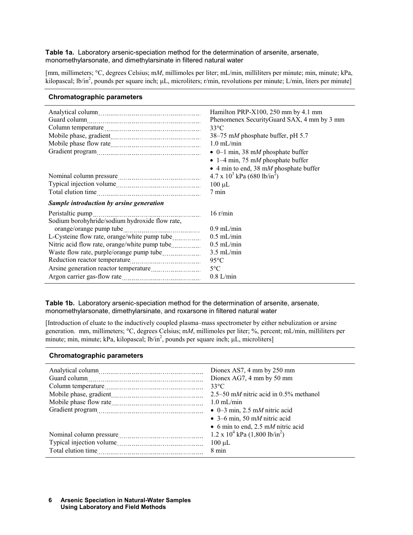#### **Table 1a.** Laboratory arsenic-speciation method for the determination of arsenite, arsenate, monomethylarsonate, and dimethylarsinate in filtered natural water

[mm, millimeters; °C, degrees Celsius; m*M*, millimoles per liter; mL/min, milliliters per minute; min, minute; kPa, kilopascal; lb/in<sup>2</sup>, pounds per square inch; µL, microliters; r/min, revolutions per minute; L/min, liters per minute]

#### **Chromatographic parameters**

| Column temperature<br><u>[</u> [11] Column temperature <b>[12]</b> Column temperature <b>[12]</b> Column temperature <b>[12]</b> Column temperature <b>[12]</b> Column temperature <b>[12]</b> | Hamilton PRP-X100, 250 mm by 4.1 mm<br>Phenomenex SecurityGuard SAX, 4 mm by 3 mm<br>$33^{\circ}$ C<br>38–75 mM phosphate buffer, pH 5.7<br>$1.0$ mL/min<br>• 0–1 min, 38 mM phosphate buffer<br>• 1–4 min, 75 mM phosphate buffer<br>$\bullet$ 4 min to end, 38 mM phosphate buffer |
|------------------------------------------------------------------------------------------------------------------------------------------------------------------------------------------------|--------------------------------------------------------------------------------------------------------------------------------------------------------------------------------------------------------------------------------------------------------------------------------------|
|                                                                                                                                                                                                | $4.7 \times 10^3$ kPa (680 lb/in <sup>2</sup> )<br>$100 \mu L$<br>7 min                                                                                                                                                                                                              |
| Sample introduction by arsine generation                                                                                                                                                       |                                                                                                                                                                                                                                                                                      |
| Peristaltic pump<br>Sodium borohyhride/sodium hydroxide flow rate,                                                                                                                             | $16$ r/min                                                                                                                                                                                                                                                                           |
|                                                                                                                                                                                                | $0.9$ mL/min                                                                                                                                                                                                                                                                         |
|                                                                                                                                                                                                | $0.5$ mL/min                                                                                                                                                                                                                                                                         |
|                                                                                                                                                                                                | $0.5$ mL/min                                                                                                                                                                                                                                                                         |
|                                                                                                                                                                                                | $3.5$ mL/min                                                                                                                                                                                                                                                                         |
|                                                                                                                                                                                                | $95^{\circ}$ C                                                                                                                                                                                                                                                                       |
|                                                                                                                                                                                                | $5^{\circ}$ C                                                                                                                                                                                                                                                                        |
|                                                                                                                                                                                                | $0.8$ L/min                                                                                                                                                                                                                                                                          |

**Table 1b.** Laboratory arsenic-speciation method for the determination of arsenite, arsenate, monomethylarsonate, dimethylarsinate, and roxarsone in filtered natural water

[Introduction of eluate to the inductively coupled plasma–mass spectrometer by either nebulization or arsine generation. mm, millimeters; °C, degrees Celsius; m*M*, millimoles per liter; %, percent; mL/min, milliliters per minute; min, minute; kPa, kilopascal;  $lb/in^2$ , pounds per square inch;  $µL$ , microliters]

#### **Chromatographic parameters**

| Dionex AS7, 4 mm by $250$ mm<br>Dionex AG7, 4 mm by 50 mm<br>$33^{\circ}$ C<br>$2.5-50$ mM nitric acid in 0.5% methanol<br>$1.0 \text{ mL/min}$<br>$\bullet$ 0–3 min, 2.5 mM nitric acid<br>• 3–6 min, 50 mM nitric acid |
|--------------------------------------------------------------------------------------------------------------------------------------------------------------------------------------------------------------------------|
| • 6 min to end, 2.5 mM nitric acid<br>$1.2 \times 10^4$ kPa $(1,800 \text{ lb/in}^2)$<br>$100 \mu L$<br>8 min                                                                                                            |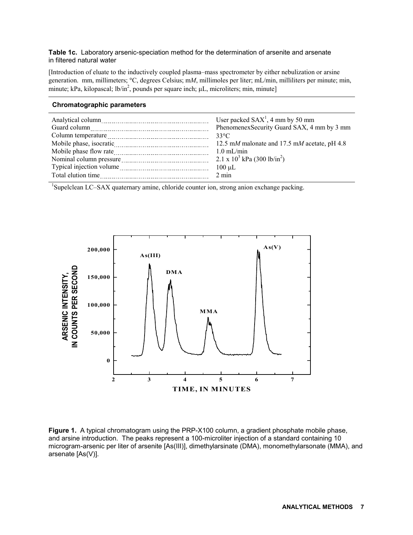#### **Table 1c.** Laboratory arsenic-speciation method for the determination of arsenite and arsenate in filtered natural water

[Introduction of eluate to the inductively coupled plasma–mass spectrometer by either nebulization or arsine generation. mm, millimeters; °C, degrees Celsius; m*M*, millimoles per liter; mL/min, milliliters per minute; min, minute; kPa, kilopascal; lb/in<sup>2</sup>, pounds per square inch;  $\mu$ L, microliters; min, minute]

#### **Chromatographic parameters**  Analytical column User packed SAX<sup>1</sup> User packed  $SAX<sup>1</sup>$ , 4 mm by 50 mm Guard column PhenomenexSecurity Guard SAX, 4 mm by 3 mm Column temperature 23°C Mobile phase, isocratic matrice 12.5 m*M* malonate and 17.5 m*M* acetate, pH 4.8 Mobile phase flow rate 1.0 mL/min 1.0 mL/min Nominal column pressure  $\frac{1}{2.1 \times 10^{3} \text{ kPa}}$  (300 lb/in<sup>2</sup>) Typical injection volume 100 µL Total elution time 2 min

<sup>1</sup>Supelclean LC–SAX quaternary amine, chloride counter ion, strong anion exchange packing.



**Figure 1.** A typical chromatogram using the PRP-X100 column, a gradient phosphate mobile phase, and arsine introduction. The peaks represent a 100-microliter injection of a standard containing 10 microgram-arsenic per liter of arsenite [As(III)], dimethylarsinate (DMA), monomethylarsonate (MMA), and arsenate [As(V)].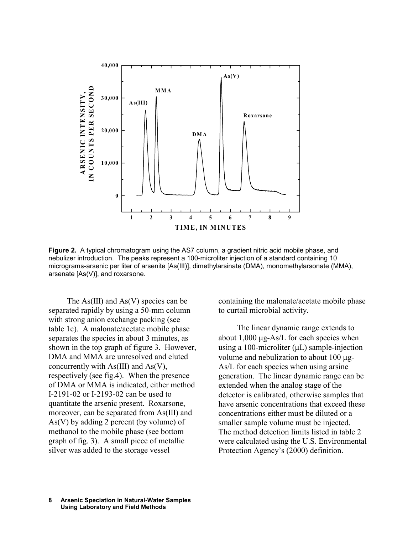

**Figure 2.** A typical chromatogram using the AS7 column, a gradient nitric acid mobile phase, and nebulizer introduction. The peaks represent a 100-microliter injection of a standard containing 10 micrograms-arsenic per liter of arsenite [As(III)], dimethylarsinate (DMA), monomethylarsonate (MMA), arsenate [As(V)], and roxarsone.

The  $As(III)$  and  $As(V)$  species can be separated rapidly by using a 50-mm column with strong anion exchange packing (see table 1c). A malonate/acetate mobile phase separates the species in about 3 minutes, as shown in the top graph of figure 3. However, DMA and MMA are unresolved and eluted concurrently with As(III) and As(V), respectively (see fig.4). When the presence of DMA or MMA is indicated, either method I-2191-02 or I-2193-02 can be used to quantitate the arsenic present. Roxarsone, moreover, can be separated from As(III) and As(V) by adding 2 percent (by volume) of methanol to the mobile phase (see bottom graph of fig. 3). A small piece of metallic silver was added to the storage vessel

containing the malonate/acetate mobile phase to curtail microbial activity.

The linear dynamic range extends to about  $1,000 \mu$ g-As/L for each species when using a 100-microliter  $(\mu L)$  sample-injection volume and nebulization to about 100  $\mu$ g-As/L for each species when using arsine generation. The linear dynamic range can be extended when the analog stage of the detector is calibrated, otherwise samples that have arsenic concentrations that exceed these concentrations either must be diluted or a smaller sample volume must be injected. The method detection limits listed in table 2 were calculated using the U.S. Environmental Protection Agency's (2000) definition.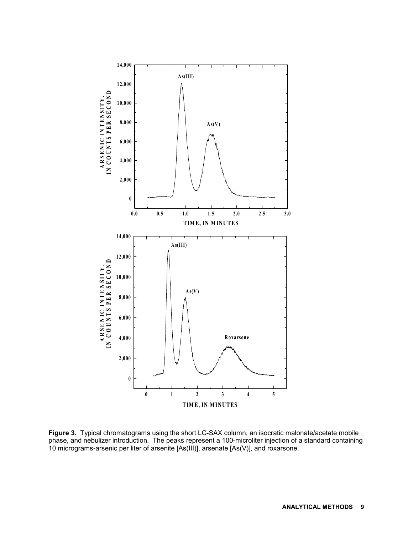

**Figure 3.** Typical chromatograms using the short LC-SAX column, an isocratic malonate/acetate mobile phase, and nebulizer introduction. The peaks represent a 100-microliter injection of a standard containing 10 micrograms-arsenic per liter of arsenite [As(III)], arsenate [As(V)], and roxarsone.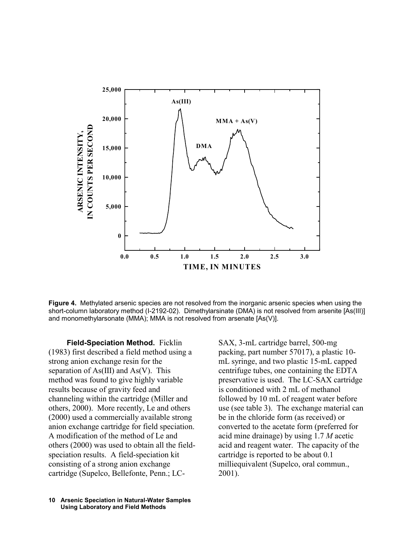

**Figure 4.** Methylated arsenic species are not resolved from the inorganic arsenic species when using the short-column laboratory method (I-2192-02). Dimethylarsinate (DMA) is not resolved from arsenite [As(III)] and monomethylarsonate (MMA); MMA is not resolved from arsenate [As(V)].

**Field-Speciation Method.** Ficklin (1983) first described a field method using a strong anion exchange resin for the separation of  $As(III)$  and  $As(V)$ . This method was found to give highly variable results because of gravity feed and channeling within the cartridge (Miller and others, 2000). More recently, Le and others (2000) used a commercially available strong anion exchange cartridge for field speciation. A modification of the method of Le and others (2000) was used to obtain all the fieldspeciation results. A field-speciation kit consisting of a strong anion exchange cartridge (Supelco, Bellefonte, Penn.; LC-

SAX, 3-mL cartridge barrel, 500-mg packing, part number 57017), a plastic 10 mL syringe, and two plastic 15-mL capped centrifuge tubes, one containing the EDTA preservative is used. The LC-SAX cartridge is conditioned with 2 mL of methanol followed by 10 mL of reagent water before use (see table 3). The exchange material can be in the chloride form (as received) or converted to the acetate form (preferred for acid mine drainage) by using 1.7 *M* acetic acid and reagent water. The capacity of the cartridge is reported to be about 0.1 milliequivalent (Supelco, oral commun., 2001).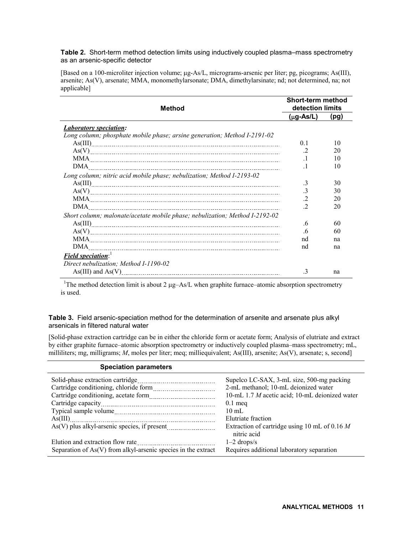**Table 2.** Short-term method detection limits using inductively coupled plasma–mass spectrometry as an arsenic-specific detector

[Based on a 100-microliter injection volume; µg-As/L, micrograms-arsenic per liter; pg, picograms; As(III), arsenite; As(V), arsenate; MMA, monomethylarsonate; DMA, dimethylarsinate; nd; not determined, na; not applicable]

| <b>Method</b>                                                               | Short-term method<br>detection limits |      |  |
|-----------------------------------------------------------------------------|---------------------------------------|------|--|
|                                                                             | $(\mu g$ -As/L)                       | (pg) |  |
| <i><b>Laboratory speciation:</b></i>                                        |                                       |      |  |
| Long column; phosphate mobile phase; arsine generation; Method I-2191-02    |                                       |      |  |
|                                                                             | 0 <sup>1</sup>                        | 10   |  |
|                                                                             | .2                                    | 20   |  |
|                                                                             |                                       | 10   |  |
| DMA.                                                                        |                                       | 10   |  |
| Long column; nitric acid mobile phase; nebulization; Method I-2193-02       |                                       |      |  |
| As(III)                                                                     | .3                                    | 30   |  |
|                                                                             | $\cdot$ 3                             | 30   |  |
|                                                                             |                                       | 20   |  |
| DMA                                                                         | $\overline{2}$                        | 20   |  |
| Short column; malonate/acetate mobile phase; nebulization; Method I-2192-02 |                                       |      |  |
|                                                                             | 6 <sub>6</sub>                        | 60   |  |
|                                                                             | $6^{\circ}$                           | 60   |  |
|                                                                             | nd                                    | na   |  |
| DMA.                                                                        | nd                                    | na   |  |
| Field speciation:                                                           |                                       |      |  |
| Direct nebulization; Method I-1190-02                                       |                                       |      |  |
|                                                                             | .3                                    | na   |  |

<sup>1</sup>The method detection limit is about 2  $\mu$ g-As/L when graphite furnace-atomic absorption spectrometry is used.

**Table 3.** Field arsenic-speciation method for the determination of arsenite and arsenate plus alkyl arsenicals in filtered natural water

[Solid-phase extraction cartridge can be in either the chloride form or acetate form; Analysis of elutriate and extract by either graphite furnace–atomic absorption spectrometry or inductively coupled plasma–mass spectrometry; mL, milliliters; mg, milligrams; *M*, moles per liter; meq; milliequivalent; As(III), arsenite; As(V), arsenate; s, second]

| <b>Speciation parameters</b>                                  |                                                                |
|---------------------------------------------------------------|----------------------------------------------------------------|
|                                                               | Supelco LC-SAX, 3-mL size, 500-mg packing                      |
|                                                               | 2-mL methanol; 10-mL deionized water                           |
|                                                               | 10-mL 1.7 M acetic acid; 10-mL deionized water                 |
|                                                               | $0.1$ meq                                                      |
|                                                               | $10 \text{ mL}$                                                |
|                                                               | Elutriate fraction                                             |
|                                                               | Extraction of cartridge using 10 mL of 0.16 $M$<br>nitric acid |
| Elution and extraction flow rate                              | $1-2$ drops/s                                                  |
| Separation of As(V) from alkyl-arsenic species in the extract | Requires additional laboratory separation                      |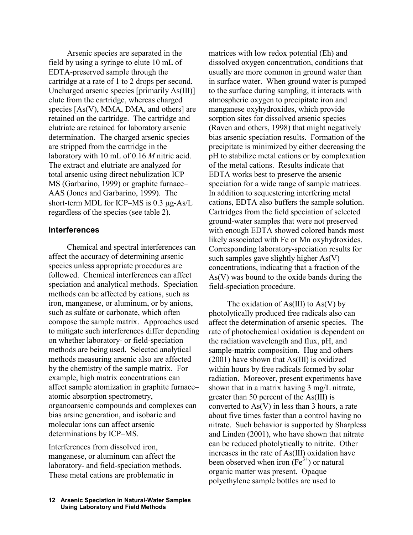Arsenic species are separated in the field by using a syringe to elute 10 mL of EDTA-preserved sample through the cartridge at a rate of 1 to 2 drops per second. Uncharged arsenic species [primarily As(III)] elute from the cartridge, whereas charged species [As(V), MMA, DMA, and others] are retained on the cartridge. The cartridge and elutriate are retained for laboratory arsenic determination. The charged arsenic species are stripped from the cartridge in the laboratory with 10 mL of 0.16 *M* nitric acid. The extract and elutriate are analyzed for total arsenic using direct nebulization ICP– MS (Garbarino, 1999) or graphite furnace– AAS (Jones and Garbarino, 1999). The short-term MDL for ICP–MS is  $0.3 \mu$ g-As/L regardless of the species (see table 2).

### **Interferences**

Chemical and spectral interferences can affect the accuracy of determining arsenic species unless appropriate procedures are followed. Chemical interferences can affect speciation and analytical methods. Speciation methods can be affected by cations, such as iron, manganese, or aluminum, or by anions, such as sulfate or carbonate, which often compose the sample matrix. Approaches used to mitigate such interferences differ depending on whether laboratory- or field-speciation methods are being used. Selected analytical methods measuring arsenic also are affected by the chemistry of the sample matrix. For example, high matrix concentrations can affect sample atomization in graphite furnace– atomic absorption spectrometry, organoarsenic compounds and complexes can bias arsine generation, and isobaric and molecular ions can affect arsenic determinations by ICP–MS.

Interferences from dissolved iron, manganese, or aluminum can affect the laboratory- and field-speciation methods. These metal cations are problematic in

matrices with low redox potential (Eh) and dissolved oxygen concentration, conditions that usually are more common in ground water than in surface water. When ground water is pumped to the surface during sampling, it interacts with atmospheric oxygen to precipitate iron and manganese oxyhydroxides, which provide sorption sites for dissolved arsenic species (Raven and others, 1998) that might negatively bias arsenic speciation results. Formation of the precipitate is minimized by either decreasing the pH to stabilize metal cations or by complexation of the metal cations. Results indicate that EDTA works best to preserve the arsenic speciation for a wide range of sample matrices. In addition to sequestering interfering metal cations, EDTA also buffers the sample solution. Cartridges from the field speciation of selected ground-water samples that were not preserved with enough EDTA showed colored bands most likely associated with Fe or Mn oxyhydroxides. Corresponding laboratory-speciation results for such samples gave slightly higher As(V) concentrations, indicating that a fraction of the As(V) was bound to the oxide bands during the field-speciation procedure.

The oxidation of  $As(III)$  to  $As(V)$  by photolytically produced free radicals also can affect the determination of arsenic species. The rate of photochemical oxidation is dependent on the radiation wavelength and flux, pH, and sample-matrix composition. Hug and others (2001) have shown that As(III) is oxidized within hours by free radicals formed by solar radiation. Moreover, present experiments have shown that in a matrix having 3 mg/L nitrate, greater than 50 percent of the As(III) is converted to As(V) in less than 3 hours, a rate about five times faster than a control having no nitrate. Such behavior is supported by Sharpless and Linden (2001), who have shown that nitrate can be reduced photolytically to nitrite. Other increases in the rate of As(III) oxidation have been observed when iron  $(Fe<sup>3+</sup>)$  or natural organic matter was present. Opaque polyethylene sample bottles are used to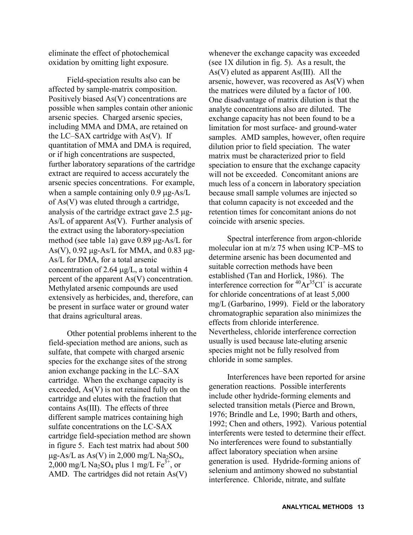eliminate the effect of photochemical oxidation by omitting light exposure.

Field-speciation results also can be affected by sample-matrix composition. Positively biased As(V) concentrations are possible when samples contain other anionic arsenic species. Charged arsenic species, including MMA and DMA, are retained on the LC–SAX cartridge with As(V). If quantitation of MMA and DMA is required, or if high concentrations are suspected, further laboratory separations of the cartridge extract are required to access accurately the arsenic species concentrations. For example, when a sample containing only  $0.9 \mu$ g-As/L of As(V) was eluted through a cartridge, analysis of the cartridge extract gave  $2.5 \mu$ g-As/L of apparent As(V). Further analysis of the extract using the laboratory-speciation method (see table 1a) gave  $0.89 \mu$ g-As/L for As(V),  $0.92 \mu$ g-As/L for MMA, and  $0.83 \mu$ g-As/L for DMA, for a total arsenic concentration of 2.64  $\mu$ g/L, a total within 4 percent of the apparent As(V) concentration. Methylated arsenic compounds are used extensively as herbicides, and, therefore, can be present in surface water or ground water that drains agricultural areas.

Other potential problems inherent to the field-speciation method are anions, such as sulfate, that compete with charged arsenic species for the exchange sites of the strong anion exchange packing in the LC–SAX cartridge. When the exchange capacity is exceeded, As(V) is not retained fully on the cartridge and elutes with the fraction that contains As(III). The effects of three different sample matrices containing high sulfate concentrations on the LC-SAX cartridge field-speciation method are shown in figure 5. Each test matrix had about 500  $\mu$ g-As/L as As(V) in 2,000 mg/L Na<sub>2</sub>SO<sub>4</sub>, 2,000 mg/L Na<sub>2</sub>SO<sub>4</sub> plus 1 mg/L Fe<sup>3+</sup>, or AMD. The cartridges did not retain As(V)

whenever the exchange capacity was exceeded (see 1X dilution in fig. 5). As a result, the  $As(V)$  eluted as apparent  $As(III)$ . All the arsenic, however, was recovered as As(V) when the matrices were diluted by a factor of 100. One disadvantage of matrix dilution is that the analyte concentrations also are diluted. The exchange capacity has not been found to be a limitation for most surface- and ground-water samples. AMD samples, however, often require dilution prior to field speciation. The water matrix must be characterized prior to field speciation to ensure that the exchange capacity will not be exceeded. Concomitant anions are much less of a concern in laboratory speciation because small sample volumes are injected so that column capacity is not exceeded and the retention times for concomitant anions do not coincide with arsenic species.

Spectral interference from argon-chloride molecular ion at m/z 75 when using ICP–MS to determine arsenic has been documented and suitable correction methods have been established (Tan and Horlick, 1986). The interference correction for  ${}^{40}Ar^{35}Cl^+$  is accurate for chloride concentrations of at least 5,000 mg/L (Garbarino, 1999). Field or the laboratory chromatographic separation also minimizes the effects from chloride interference. Nevertheless, chloride interference correction usually is used because late-eluting arsenic species might not be fully resolved from chloride in some samples.

Interferences have been reported for arsine generation reactions. Possible interferents include other hydride-forming elements and selected transition metals (Pierce and Brown, 1976; Brindle and Le, 1990; Barth and others, 1992; Chen and others, 1992). Various potential interferents were tested to determine their effect. No interferences were found to substantially affect laboratory speciation when arsine generation is used. Hydride-forming anions of selenium and antimony showed no substantial interference. Chloride, nitrate, and sulfate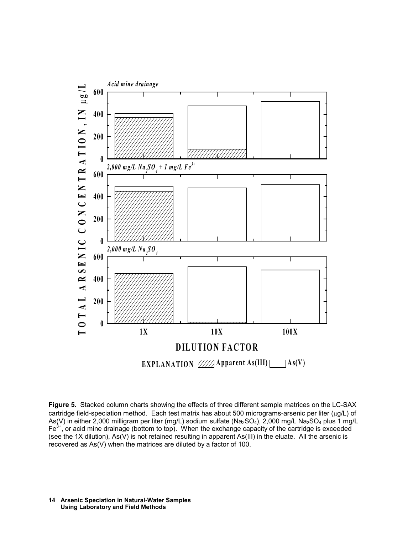

**Figure 5.** Stacked column charts showing the effects of three different sample matrices on the LC-SAX cartridge field-speciation method. Each test matrix has about 500 micrograms-arsenic per liter ( $\mu$ g/L) of As(V) in either 2,000 milligram per liter (mg/L) sodium sulfate (Na<sub>2</sub>SO<sub>4</sub>), 2,000 mg/L Na<sub>2</sub>SO<sub>4</sub> plus 1 mg/L  $Fe<sup>3+</sup>$ , or acid mine drainage (bottom to top). When the exchange capacity of the cartridge is exceeded (see the 1X dilution), As(V) is not retained resulting in apparent As(III) in the eluate. All the arsenic is recovered as As(V) when the matrices are diluted by a factor of 100.

#### **Arsenic Speciation in Natural-Water Samples 14 Using Laboratory and Field Methods**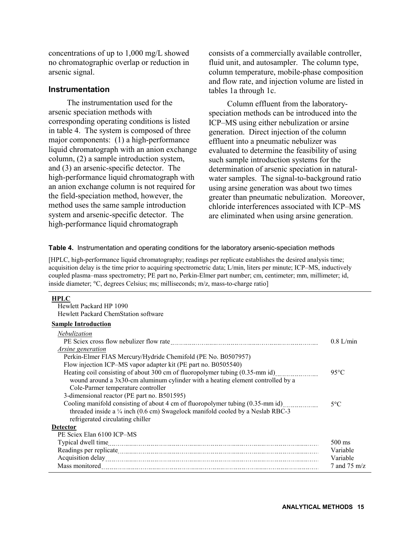concentrations of up to 1,000 mg/L showed no chromatographic overlap or reduction in arsenic signal.

### **Instrumentation**

The instrumentation used for the arsenic speciation methods with corresponding operating conditions is listed in table 4. The system is composed of three major components: (1) a high-performance liquid chromatograph with an anion exchange column, (2) a sample introduction system, and (3) an arsenic-specific detector. The high-performance liquid chromatograph with an anion exchange column is not required for the field-speciation method, however, the method uses the same sample introduction system and arsenic-specific detector. The high-performance liquid chromatograph

consists of a commercially available controller, fluid unit, and autosampler. The column type, column temperature, mobile-phase composition and flow rate, and injection volume are listed in tables 1a through 1c.

Column effluent from the laboratoryspeciation methods can be introduced into the ICP–MS using either nebulization or arsine generation. Direct injection of the column effluent into a pneumatic nebulizer was evaluated to determine the feasibility of using such sample introduction systems for the determination of arsenic speciation in naturalwater samples. The signal-to-background ratio using arsine generation was about two times greater than pneumatic nebulization. Moreover, chloride interferences associated with ICP–MS are eliminated when using arsine generation.

**Table 4.** Instrumentation and operating conditions for the laboratory arsenic-speciation methods

[HPLC, high-performance liquid chromatography; readings per replicate establishes the desired analysis time; acquisition delay is the time prior to acquiring spectrometric data; L/min, liters per minute; ICP–MS, inductively coupled plasma–mass spectrometry; PE part no, Perkin-Elmer part number; cm, centimeter; mm, millimeter; id, inside diameter;  $\degree$ C, degrees Celsius; ms; milliseconds; m/z, mass-to-charge ratio]

#### **HPLC**

 Hewlett Packard HP 1090 Hewlett Packard ChemStation software

#### **Sample Introduction**

| Nebulization                                                                    |                |
|---------------------------------------------------------------------------------|----------------|
|                                                                                 | $0.8$ L/min    |
| <i>Arsine generation</i>                                                        |                |
| Perkin-Elmer FIAS Mercury/Hydride Chemifold (PE No. B0507957)                   |                |
| Flow injection ICP–MS vapor adapter kit (PE part no. B0505540)                  |                |
| Heating coil consisting of about 300 cm of fluoropolymer tubing (0.35-mm id)    | $95^{\circ}$ C |
| wound around a 3x30-cm aluminum cylinder with a heating element controlled by a |                |
| Cole-Parmer temperature controller                                              |                |
| 3-dimensional reactor (PE part no. B501595)                                     |                |
| Cooling manifold consisting of about 4 cm of fluoropolymer tubing (0.35-mm id)  | $5^{\circ}C$   |
| threaded inside a 1/4 inch (0.6 cm) Swagelock manifold cooled by a Neslab RBC-3 |                |
| refrigerated circulating chiller                                                |                |
| <b>Detector</b>                                                                 |                |
| PE Sciex Elan 6100 ICP–MS                                                       |                |
|                                                                                 | $500$ ms       |
|                                                                                 | Variable       |
|                                                                                 | Variable       |
| Mass monitored                                                                  | 7 and 75 m/z   |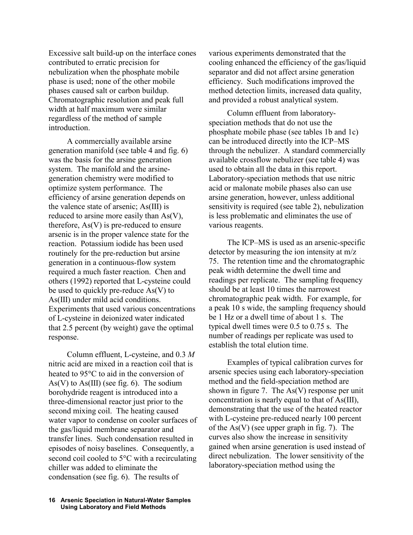Excessive salt build-up on the interface cones contributed to erratic precision for nebulization when the phosphate mobile phase is used; none of the other mobile phases caused salt or carbon buildup. Chromatographic resolution and peak full width at half maximum were similar regardless of the method of sample introduction.

A commercially available arsine generation manifold (see table 4 and fig. 6) was the basis for the arsine generation system. The manifold and the arsinegeneration chemistry were modified to optimize system performance. The efficiency of arsine generation depends on the valence state of arsenic; As(III) is reduced to arsine more easily than As(V), therefore,  $As(V)$  is pre-reduced to ensure arsenic is in the proper valence state for the reaction. Potassium iodide has been used routinely for the pre-reduction but arsine generation in a continuous-flow system required a much faster reaction. Chen and others (1992) reported that L-cysteine could be used to quickly pre-reduce As(V) to As(III) under mild acid conditions. Experiments that used various concentrations of L-cysteine in deionized water indicated that 2.5 percent (by weight) gave the optimal response.

Column effluent, L-cysteine, and 0.3 *M* nitric acid are mixed in a reaction coil that is heated to 95°C to aid in the conversion of As(V) to As(III) (see fig. 6). The sodium borohydride reagent is introduced into a three-dimensional reactor just prior to the second mixing coil. The heating caused water vapor to condense on cooler surfaces of the gas/liquid membrane separator and transfer lines. Such condensation resulted in episodes of noisy baselines. Consequently, a second coil cooled to 5°C with a recirculating chiller was added to eliminate the condensation (see fig. 6). The results of

various experiments demonstrated that the cooling enhanced the efficiency of the gas/liquid separator and did not affect arsine generation efficiency. Such modifications improved the method detection limits, increased data quality, and provided a robust analytical system.

Column effluent from laboratoryspeciation methods that do not use the phosphate mobile phase (see tables 1b and 1c) can be introduced directly into the ICP–MS through the nebulizer. A standard commercially available crossflow nebulizer (see table 4) was used to obtain all the data in this report. Laboratory-speciation methods that use nitric acid or malonate mobile phases also can use arsine generation, however, unless additional sensitivity is required (see table 2), nebulization is less problematic and eliminates the use of various reagents.

The ICP–MS is used as an arsenic-specific detector by measuring the ion intensity at m/z 75. The retention time and the chromatographic peak width determine the dwell time and readings per replicate. The sampling frequency should be at least 10 times the narrowest chromatographic peak width. For example, for a peak 10 s wide, the sampling frequency should be 1 Hz or a dwell time of about 1 s. The typical dwell times were 0.5 to 0.75 s. The number of readings per replicate was used to establish the total elution time.

Examples of typical calibration curves for arsenic species using each laboratory-speciation method and the field-speciation method are shown in figure 7. The  $As(V)$  response per unit concentration is nearly equal to that of As(III), demonstrating that the use of the heated reactor with L-cysteine pre-reduced nearly 100 percent of the  $As(V)$  (see upper graph in fig. 7). The curves also show the increase in sensitivity gained when arsine generation is used instead of direct nebulization. The lower sensitivity of the laboratory-speciation method using the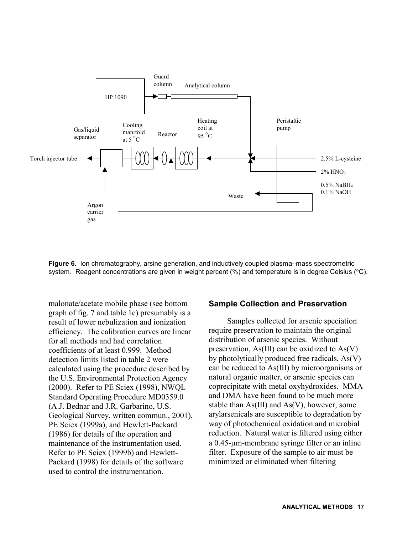

**Figure 6.** Ion chromatography, arsine generation, and inductively coupled plasma–mass spectrometric system. Reagent concentrations are given in weight percent  $\frac{1}{2}$  and temperature is in degree Celsius  $\frac{1}{2}$ .

malonate/acetate mobile phase (see bottom graph of fig. 7 and table 1c) presumably is a result of lower nebulization and ionization efficiency. The calibration curves are linear for all methods and had correlation coefficients of at least 0.999. Method detection limits listed in table 2 were calculated using the procedure described by the U.S. Environmental Protection Agency (2000). Refer to PE Sciex (1998), NWQL Standard Operating Procedure MD0359.0 (A.J. Bednar and J.R. Garbarino, U.S. Geological Survey, written commun., 2001), PE Sciex (1999a), and Hewlett-Packard (1986) for details of the operation and maintenance of the instrumentation used. Refer to PE Sciex (1999b) and Hewlett-Packard (1998) for details of the software used to control the instrumentation.

#### **Sample Collection and Preservation**

Samples collected for arsenic speciation require preservation to maintain the original distribution of arsenic species. Without preservation, As(III) can be oxidized to As(V) by photolytically produced free radicals, As(V) can be reduced to As(III) by microorganisms or natural organic matter, or arsenic species can coprecipitate with metal oxyhydroxides. MMA and DMA have been found to be much more stable than As(III) and As(V), however, some arylarsenicals are susceptible to degradation by way of photochemical oxidation and microbial reduction. Natural water is filtered using either a 0.45-um-membrane syringe filter or an inline filter. Exposure of the sample to air must be minimized or eliminated when filtering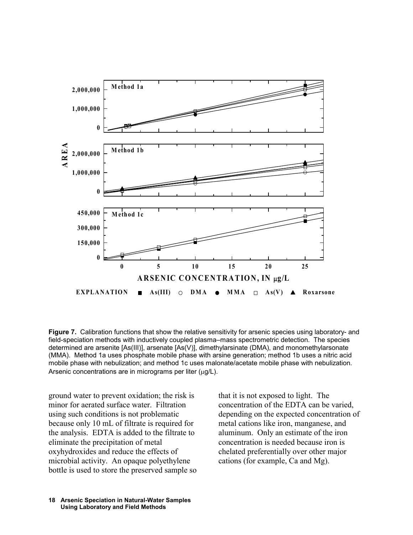

**Figure 7.** Calibration functions that show the relative sensitivity for arsenic species using laboratory- and field-speciation methods with inductively coupled plasma–mass spectrometric detection. The species determined are arsenite [As(III)], arsenate [As(V)], dimethylarsinate (DMA), and monomethylarsonate (MMA). Method 1a uses phosphate mobile phase with arsine generation; method 1b uses a nitric acid mobile phase with nebulization; and method 1c uses malonate/acetate mobile phase with nebulization. Arsenic concentrations are in micrograms per liter ( $\mu$ g/L).

ground water to prevent oxidation; the risk is minor for aerated surface water. Filtration using such conditions is not problematic because only 10 mL of filtrate is required for the analysis. EDTA is added to the filtrate to eliminate the precipitation of metal oxyhydroxides and reduce the effects of microbial activity. An opaque polyethylene bottle is used to store the preserved sample so that it is not exposed to light. The concentration of the EDTA can be varied, depending on the expected concentration of metal cations like iron, manganese, and aluminum. Only an estimate of the iron concentration is needed because iron is chelated preferentially over other major cations (for example, Ca and Mg).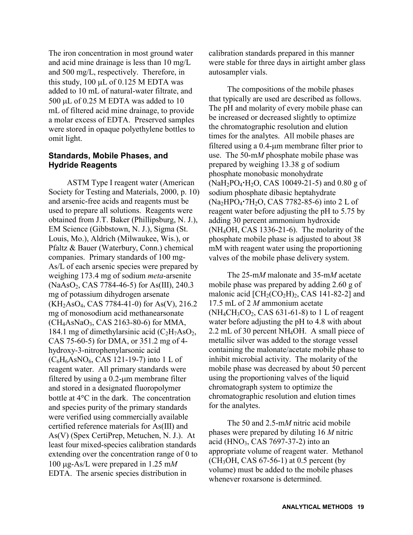The iron concentration in most ground water and acid mine drainage is less than 10 mg/L and 500 mg/L, respectively. Therefore, in this study,  $100 \mu L$  of 0.125 M EDTA was added to 10 mL of natural-water filtrate, and 500  $\mu$ L of 0.25 M EDTA was added to 10 mL of filtered acid mine drainage, to provide a molar excess of EDTA. Preserved samples were stored in opaque polyethylene bottles to omit light.

### **Standards, Mobile Phases, and Hydride Reagents**

ASTM Type I reagent water (American Society for Testing and Materials, 2000, p. 10) and arsenic-free acids and reagents must be used to prepare all solutions. Reagents were obtained from J.T. Baker (Phillipsburg, N. J.), EM Science (Gibbstown, N. J.), Sigma (St. Louis, Mo.), Aldrich (Milwaukee, Wis.), or Pfaltz & Bauer (Waterbury, Conn.) chemical companies. Primary standards of 100 mg-As/L of each arsenic species were prepared by weighing 173.4 mg of sodium *meta*-arsenite  $(NaAsO<sub>2</sub>, CAS 7784-46-5)$  for As(III), 240.3 mg of potassium dihydrogen arsenate  $(KH<sub>2</sub>AsO<sub>4</sub>, CAS 7784-41-0)$  for As(V), 216.2 mg of monosodium acid methanearsonate  $(CH<sub>4</sub>AsNaO<sub>3</sub>, CAS 2163-80-6)$  for MMA, 184.1 mg of dimethylarsinic acid  $(C_2H_7AsO_2)$ , CAS 75-60-5) for DMA, or 351.2 mg of 4 hydroxy-3-nitrophenylarsonic acid  $(C_6H_6AsNO_6, CAS 121-19-7)$  into 1 L of reagent water. All primary standards were filtered by using a  $0.2$ -µm membrane filter and stored in a designated fluoropolymer bottle at  $4^{\circ}$ C in the dark. The concentration and species purity of the primary standards were verified using commercially available certified reference materials for As(III) and As(V) (Spex CertiPrep, Metuchen, N. J.). At least four mixed-species calibration standards extending over the concentration range of 0 to 100 g-As/L were prepared in 1.25 m*M* EDTA. The arsenic species distribution in

calibration standards prepared in this manner were stable for three days in airtight amber glass autosampler vials.

The compositions of the mobile phases that typically are used are described as follows. The pH and molarity of every mobile phase can be increased or decreased slightly to optimize the chromatographic resolution and elution times for the analytes. All mobile phases are filtered using a 0.4-um membrane filter prior to use. The 50-m*M* phosphate mobile phase was prepared by weighing 13.38 g of sodium phosphate monobasic monohydrate  $(NaH<sub>2</sub>PO<sub>4</sub>·H<sub>2</sub>O$ , CAS 10049-21-5) and 0.80 g of sodium phosphate dibasic heptahydrate (Na2HPO47H2O, CAS 7782-85-6) into 2 L of reagent water before adjusting the pH to 5.75 by adding 30 percent ammonium hydroxide (NH4OH, CAS 1336-21-6). The molarity of the phosphate mobile phase is adjusted to about 38 mM with reagent water using the proportioning valves of the mobile phase delivery system.

The 25-m*M* malonate and 35-m*M* acetate mobile phase was prepared by adding 2.60 g of malonic acid  $\text{[CH}_2(\text{CO}_2\text{H})_2$ , CAS 141-82-2] and 17.5 mL of 2 *M* ammonium acetate  $(NH_4CH_3CO_2, CAS 631-61-8)$  to 1 L of reagent water before adjusting the pH to 4.8 with about 2.2 mL of 30 percent NH4OH. A small piece of metallic silver was added to the storage vessel containing the malonate/acetate mobile phase to inhibit microbial activity. The molarity of the mobile phase was decreased by about 50 percent using the proportioning valves of the liquid chromatograph system to optimize the chromatographic resolution and elution times for the analytes.

The 50 and 2.5-m*M* nitric acid mobile phases were prepared by diluting 16 *M* nitric acid (HNO<sub>3</sub>, CAS 7697-37-2) into an appropriate volume of reagent water. Methanol  $(CH<sub>3</sub>OH, CAS 67-56-1)$  at 0.5 percent (by volume) must be added to the mobile phases whenever roxarsone is determined.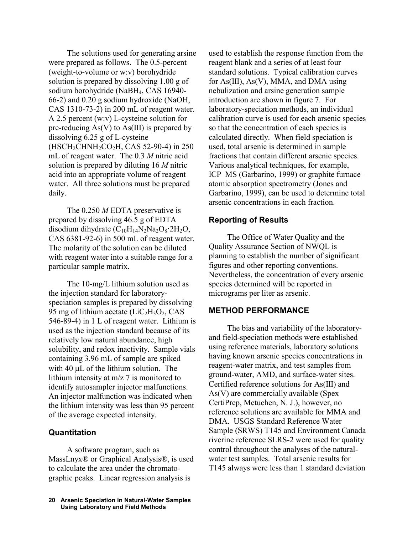The solutions used for generating arsine were prepared as follows. The 0.5-percent (weight-to-volume or w:v) borohydride solution is prepared by dissolving 1.00 g of sodium borohydride (NaBH4, CAS 16940- 66-2) and 0.20 g sodium hydroxide (NaOH, CAS 1310-73-2) in 200 mL of reagent water. A 2.5 percent (w:v) L-cysteine solution for pre-reducing As(V) to As(III) is prepared by dissolving 6.25 g of L-cysteine (HSCH2CHNH2CO2H, CAS 52-90-4) in 250 mL of reagent water. The 0.3 *M* nitric acid solution is prepared by diluting 16 *M* nitric acid into an appropriate volume of reagent water. All three solutions must be prepared daily.

The 0.250 *M* EDTA preservative is prepared by dissolving 46.5 g of EDTA disodium dihydrate  $(C_{10}H_{14}N_2Na_2O_8 \cdot 2H_2O$ , CAS 6381-92-6) in 500 mL of reagent water. The molarity of the solution can be diluted with reagent water into a suitable range for a particular sample matrix.

The 10-mg/L lithium solution used as the injection standard for laboratoryspeciation samples is prepared by dissolving 95 mg of lithium acetate  $(LiC<sub>2</sub>H<sub>3</sub>O<sub>2</sub>, CAS)$ 546-89-4) in 1 L of reagent water. Lithium is used as the injection standard because of its relatively low natural abundance, high solubility, and redox inactivity. Sample vials containing 3.96 mL of sample are spiked with  $40 \mu L$  of the lithium solution. The lithium intensity at m/z 7 is monitored to identify autosampler injector malfunctions. An injector malfunction was indicated when the lithium intensity was less than 95 percent of the average expected intensity.

### **Quantitation**

A software program, such as MassLnyx® or Graphical Analysis®, is used to calculate the area under the chromatographic peaks. Linear regression analysis is

used to establish the response function from the reagent blank and a series of at least four standard solutions. Typical calibration curves for As(III), As(V), MMA, and DMA using nebulization and arsine generation sample introduction are shown in figure 7. For laboratory-speciation methods, an individual calibration curve is used for each arsenic species so that the concentration of each species is calculated directly. When field speciation is used, total arsenic is determined in sample fractions that contain different arsenic species. Various analytical techniques, for example, ICP–MS (Garbarino, 1999) or graphite furnace– atomic absorption spectrometry (Jones and Garbarino, 1999), can be used to determine total arsenic concentrations in each fraction.

### **Reporting of Results**

The Office of Water Quality and the Quality Assurance Section of NWQL is planning to establish the number of significant figures and other reporting conventions. Nevertheless, the concentration of every arsenic species determined will be reported in micrograms per liter as arsenic.

### **METHOD PERFORMANCE**

The bias and variability of the laboratoryand field-speciation methods were established using reference materials, laboratory solutions having known arsenic species concentrations in reagent-water matrix, and test samples from ground-water, AMD, and surface-water sites. Certified reference solutions for As(III) and As(V) are commercially available (Spex CertiPrep, Metuchen, N. J.), however, no reference solutions are available for MMA and DMA. USGS Standard Reference Water Sample (SRWS) T145 and Environment Canada riverine reference SLRS-2 were used for quality control throughout the analyses of the naturalwater test samples. Total arsenic results for T145 always were less than 1 standard deviation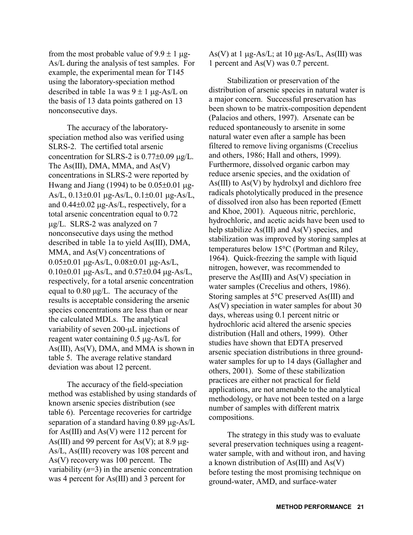from the most probable value of  $9.9 \pm 1$  µg-As/L during the analysis of test samples. For example, the experimental mean for T145 using the laboratory-speciation method described in table 1a was  $9 \pm 1$  ug-As/L on the basis of 13 data points gathered on 13 nonconsecutive days.

The accuracy of the laboratoryspeciation method also was verified using SLRS-2. The certified total arsenic concentration for SLRS-2 is  $0.77\pm0.09$   $\mu$ g/L. The As(III), DMA, MMA, and As(V) concentrations in SLRS-2 were reported by Hwang and Jiang (1994) to be  $0.05\pm0.01$   $\mu$ g-As/L,  $0.13\pm0.01$   $\mu$ g-As/L,  $0.1\pm0.01$   $\mu$ g-As/L, and  $0.44\pm0.02$  µg-As/L, respectively, for a total arsenic concentration equal to 0.72 g/L. SLRS-2 was analyzed on 7 nonconsecutive days using the method described in table 1a to yield As(III), DMA, MMA, and As(V) concentrations of  $0.05\pm0.01$   $\mu$ g-As/L,  $0.08\pm0.01$   $\mu$ g-As/L,  $0.10\pm0.01$   $\mu$ g-As/L, and  $0.57\pm0.04$   $\mu$ g-As/L, respectively, for a total arsenic concentration equal to  $0.80 \mu g/L$ . The accuracy of the results is acceptable considering the arsenic species concentrations are less than or near the calculated MDLs. The analytical variability of seven 200-µL injections of reagent water containing  $0.5 \mu$ g-As/L for As(III), As(V), DMA, and MMA is shown in table 5. The average relative standard deviation was about 12 percent.

The accuracy of the field-speciation method was established by using standards of known arsenic species distribution (see table 6). Percentage recoveries for cartridge separation of a standard having  $0.89 \mu$ g-As/L for As(III) and As(V) were 112 percent for As(III) and 99 percent for As(V); at 8.9  $\mu$ g-As/L, As(III) recovery was 108 percent and As(V) recovery was 100 percent. The variability  $(n=3)$  in the arsenic concentration was 4 percent for As(III) and 3 percent for

As(V) at 1  $\mu$ g-As/L; at 10  $\mu$ g-As/L, As(III) was 1 percent and As(V) was 0.7 percent.

Stabilization or preservation of the distribution of arsenic species in natural water is a major concern. Successful preservation has been shown to be matrix-composition dependent (Palacios and others, 1997). Arsenate can be reduced spontaneously to arsenite in some natural water even after a sample has been filtered to remove living organisms (Crecelius and others, 1986; Hall and others, 1999). Furthermore, dissolved organic carbon may reduce arsenic species, and the oxidation of  $As(III)$  to  $As(V)$  by hydrolxyl and dichloro free radicals photolytically produced in the presence of dissolved iron also has been reported (Emett and Khoe, 2001). Aqueous nitric, perchloric, hydrochloric, and acetic acids have been used to help stabilize As(III) and As(V) species, and stabilization was improved by storing samples at temperatures below 15°C (Portman and Riley, 1964). Quick-freezing the sample with liquid nitrogen, however, was recommended to preserve the As(III) and As(V) speciation in water samples (Crecelius and others, 1986). Storing samples at 5°C preserved As(III) and As(V) speciation in water samples for about 30 days, whereas using 0.1 percent nitric or hydrochloric acid altered the arsenic species distribution (Hall and others, 1999). Other studies have shown that EDTA preserved arsenic speciation distributions in three groundwater samples for up to 14 days (Gallagher and others, 2001). Some of these stabilization practices are either not practical for field applications, are not amenable to the analytical methodology, or have not been tested on a large number of samples with different matrix compositions.

The strategy in this study was to evaluate several preservation techniques using a reagentwater sample, with and without iron, and having a known distribution of As(III) and As(V) before testing the most promising technique on ground-water, AMD, and surface-water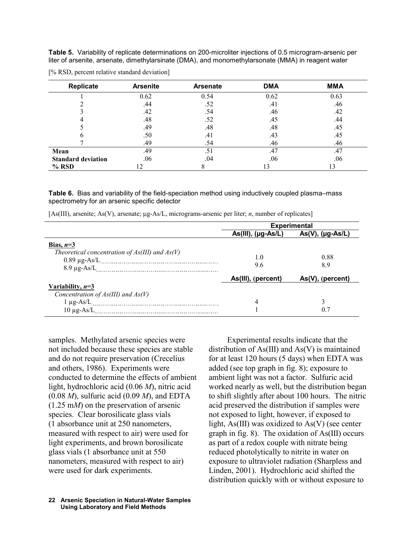**Table 5.** Variability of replicate determinations on 200-microliter injections of 0.5 microgram-arsenic per liter of arsenite, arsenate, dimethylarsinate (DMA), and monomethylarsonate (MMA) in reagent water

| Replicate                 | <b>Arsenite</b> | <b>Arsenate</b> | <b>DMA</b> | <b>MMA</b> |
|---------------------------|-----------------|-----------------|------------|------------|
|                           | 0.62            | 0.54            | 0.62       | 0.63       |
|                           | .44             | .52             | .41        | .46        |
|                           | .42             | .54             | .46        | .42        |
|                           | .48             | .52             | .45        | .44        |
|                           | .49             | .48             | .48        | .45        |
|                           | .50             | .41             | .43        | .45        |
|                           | .49             | .54             | .46        | .46        |
| Mean                      | .49             | .51             | .47        | .47        |
| <b>Standard deviation</b> | .06             | .04             | .06        | .06        |
| $%$ RSD                   |                 |                 |            | 13         |

[% RSD, percent relative standard deviation]

**Table 6.** Bias and variability of the field-speciation method using inductively coupled plasma–mass spectrometry for an arsenic specific detector

| [As(III), arsenite; As(V), arsenate; µg-As/L, micrograms-arsenic per liter; n, number of replicates] |  |  |  |  |
|------------------------------------------------------------------------------------------------------|--|--|--|--|
|------------------------------------------------------------------------------------------------------|--|--|--|--|

|                                                    | <b>Experimental</b>  |                     |  |  |
|----------------------------------------------------|----------------------|---------------------|--|--|
|                                                    | $As(III), (µg-As/L)$ | $As(V), (µg-As/L)$  |  |  |
| Bias, $n=3$                                        |                      |                     |  |  |
| Theoretical concentration of $As(III)$ and $As(V)$ | 1.0                  | 0.88                |  |  |
|                                                    | 9.6                  | 8.9                 |  |  |
|                                                    | As(III), (percent)   | $As(V)$ , (percent) |  |  |
| <u>Variability, <math>n=3</math></u>               |                      |                     |  |  |
| Concentration of $As(III)$ and $As(V)$             |                      |                     |  |  |
|                                                    | 4                    | 3                   |  |  |
| $10 \mu$ g-As/L                                    |                      | 0.7                 |  |  |

samples. Methylated arsenic species were not included because these species are stable and do not require preservation (Crecelius and others, 1986). Experiments were conducted to determine the effects of ambient light, hydrochloric acid (0.06 *M*), nitric acid (0.08 *M*), sulfuric acid (0.09 *M*), and EDTA (1.25 m*M*) on the preservation of arsenic species. Clear borosilicate glass vials (1 absorbance unit at 250 nanometers, measured with respect to air) were used for light experiments, and brown borosilicate glass vials (1 absorbance unit at 550 nanometers, measured with respect to air) were used for dark experiments.

Experimental results indicate that the distribution of As(III) and As(V) is maintained for at least 120 hours (5 days) when EDTA was added (see top graph in fig. 8); exposure to ambient light was not a factor. Sulfuric acid worked nearly as well, but the distribution began to shift slightly after about 100 hours. The nitric acid preserved the distribution if samples were not exposed to light, however, if exposed to light, As(III) was oxidized to As(V) (see center graph in fig. 8). The oxidation of As(III) occurs as part of a redox couple with nitrate being reduced photolytically to nitrite in water on exposure to ultraviolet radiation (Sharpless and Linden, 2001). Hydrochloric acid shifted the distribution quickly with or without exposure to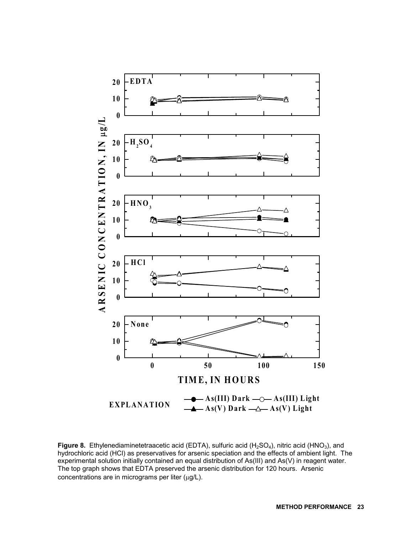

Figure 8. Ethylenediaminetetraacetic acid (EDTA), sulfuric acid (H<sub>2</sub>SO<sub>4</sub>), nitric acid (HNO<sub>3</sub>), and hydrochloric acid (HCl) as preservatives for arsenic speciation and the effects of ambient light. The experimental solution initially contained an equal distribution of As(III) and As(V) in reagent water. The top graph shows that EDTA preserved the arsenic distribution for 120 hours. Arsenic  $concentrations$  are in micrograms per liter ( $\mu$ g/L).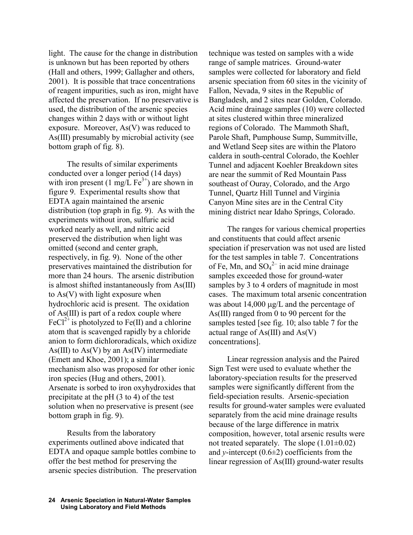light. The cause for the change in distribution is unknown but has been reported by others (Hall and others, 1999; Gallagher and others, 2001). It is possible that trace concentrations of reagent impurities, such as iron, might have affected the preservation. If no preservative is used, the distribution of the arsenic species changes within 2 days with or without light exposure. Moreover, As(V) was reduced to As(III) presumably by microbial activity (see bottom graph of fig. 8).

The results of similar experiments conducted over a longer period (14 days) with iron present (1 mg/L  $Fe<sup>3+</sup>$ ) are shown in figure 9. Experimental results show that EDTA again maintained the arsenic distribution (top graph in fig. 9). As with the experiments without iron, sulfuric acid worked nearly as well, and nitric acid preserved the distribution when light was omitted (second and center graph, respectively, in fig. 9). None of the other preservatives maintained the distribution for more than 24 hours. The arsenic distribution is almost shifted instantaneously from As(III) to As(V) with light exposure when hydrochloric acid is present. The oxidation of As(III) is part of a redox couple where FeCl<sup>2+</sup> is photolyzed to Fe(II) and a chlorine atom that is scavenged rapidly by a chloride anion to form dichlororadicals, which oxidize As(III) to  $As(V)$  by an  $As(IV)$  intermediate (Emett and Khoe, 2001); a similar mechanism also was proposed for other ionic iron species (Hug and others, 2001). Arsenate is sorbed to iron oxyhydroxides that precipitate at the pH (3 to 4) of the test solution when no preservative is present (see bottom graph in fig. 9).

Results from the laboratory experiments outlined above indicated that EDTA and opaque sample bottles combine to offer the best method for preserving the arsenic species distribution. The preservation technique was tested on samples with a wide range of sample matrices. Ground-water samples were collected for laboratory and field arsenic speciation from 60 sites in the vicinity of Fallon, Nevada, 9 sites in the Republic of Bangladesh, and 2 sites near Golden, Colorado. Acid mine drainage samples (10) were collected at sites clustered within three mineralized regions of Colorado. The Mammoth Shaft, Parole Shaft, Pumphouse Sump, Summitville, and Wetland Seep sites are within the Platoro caldera in south-central Colorado, the Koehler Tunnel and adjacent Koehler Breakdown sites are near the summit of Red Mountain Pass southeast of Ouray, Colorado, and the Argo Tunnel, Quartz Hill Tunnel and Virginia Canyon Mine sites are in the Central City mining district near Idaho Springs, Colorado.

The ranges for various chemical properties and constituents that could affect arsenic speciation if preservation was not used are listed for the test samples in table 7. Concentrations of Fe, Mn, and  $SO_4^2$  in acid mine drainage samples exceeded those for ground-water samples by 3 to 4 orders of magnitude in most cases. The maximum total arsenic concentration was about  $14,000 \mu g/L$  and the percentage of As(III) ranged from 0 to 90 percent for the samples tested [see fig. 10; also table 7 for the actual range of As(III) and As(V) concentrations].

Linear regression analysis and the Paired Sign Test were used to evaluate whether the laboratory-speciation results for the preserved samples were significantly different from the field-speciation results. Arsenic-speciation results for ground-water samples were evaluated separately from the acid mine drainage results because of the large difference in matrix composition, however, total arsenic results were not treated separately. The slope  $(1.01\pm0.02)$ and *y*-intercept  $(0.6\pm 2)$  coefficients from the linear regression of As(III) ground-water results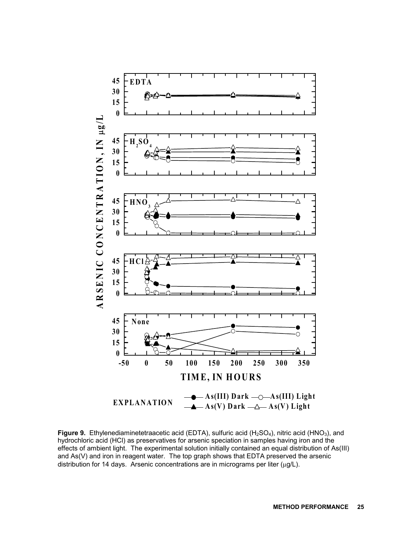

**Figure 9.** Ethylenediaminetetraacetic acid (EDTA), sulfuric acid (H<sub>2</sub>SO<sub>4</sub>), nitric acid (HNO<sub>3</sub>), and hydrochloric acid (HCl) as preservatives for arsenic speciation in samples having iron and the effects of ambient light. The experimental solution initially contained an equal distribution of As(III) and As(V) and iron in reagent water. The top graph shows that EDTA preserved the arsenic distribution for 14 days. Arsenic concentrations are in micrograms per liter ( $\mu$ g/L).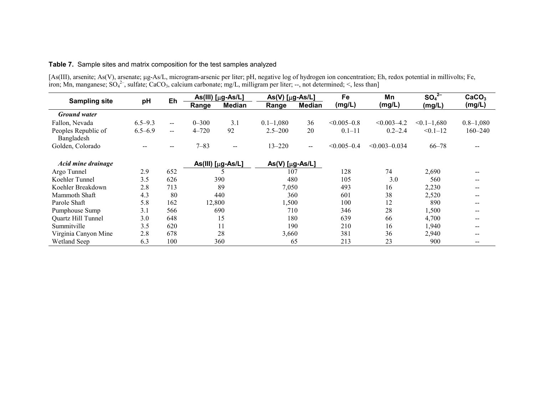### **Table 7.** Sample sites and matrix composition for the test samples analyzed

[As(III), arsenite; As(V), arsenate; µg-As/L, microgram-arsenic per liter; pH, negative log of hydrogen ion concentration; Eh, redox potential in millivolts; Fe, iron; Mn, manganese;  $SO_4^2$ , sulfate; CaCO<sub>3</sub>, calcium carbonate; mg/L, milligram per liter; --, not determined; <, less than]

| <b>Sampling site</b>              | pH          | Eh                                             | As(III) [µg-As/L]<br>$As(V)$ [µg-As/L] |                          |                   | Fe            | Mn              | SO <sub>4</sub> <sup>2–</sup> | CaCO <sub>3</sub> |                                                |
|-----------------------------------|-------------|------------------------------------------------|----------------------------------------|--------------------------|-------------------|---------------|-----------------|-------------------------------|-------------------|------------------------------------------------|
|                                   |             |                                                | Range                                  | <b>Median</b>            | Range             | <b>Median</b> | (mg/L)          | (mg/L)                        | (mg/L)            | (mg/L)                                         |
| <b>Ground</b> water               |             |                                                |                                        |                          |                   |               |                 |                               |                   |                                                |
| Fallon, Nevada                    | $6.5 - 9.3$ | $\hspace{0.1mm}-\hspace{0.1mm}-\hspace{0.1mm}$ | $0 - 300$                              | 3.1                      | $0.1 - 1,080$     | 36            | $< 0.005 - 0.8$ | $< 0.003 - 4.2$               | $< 0.1 - 1,680$   | $0.8 - 1,080$                                  |
| Peoples Republic of<br>Bangladesh | $6.5 - 6.9$ | $\mathbf{u}$                                   | $4 - 720$                              | 92                       | $2.5 - 200$       | 20            | $0.1 - 11$      | $0.2 - 2.4$                   | $< 0.1 - 12$      | 160–240                                        |
| Golden, Colorado                  |             | $- -$                                          | $7 - 83$                               | $\overline{\phantom{m}}$ | $13 - 220$        | $- -$         | $< 0.005 - 0.4$ | $< 0.003 - 0.034$             | $66 - 78$         | $\sim$ $\sim$                                  |
| Acid mine drainage                |             |                                                |                                        | As(III) [µg-As/L]        | $As(V)$ [µg-As/L] |               |                 |                               |                   |                                                |
| Argo Tunnel                       | 2.9         | 652                                            |                                        |                          | 107               |               | 128             | 74                            | 2,690             |                                                |
| Koehler Tunnel                    | 3.5         | 626                                            |                                        | 390                      | 480               |               | 105             | 3.0                           | 560               |                                                |
| Koehler Breakdown                 | 2.8         | 713                                            |                                        | 89                       | 7,050             |               | 493             | 16                            | 2,230             | --                                             |
| Mammoth Shaft                     | 4.3         | 80                                             |                                        | 440                      | 360               |               | 601             | 38                            | 2,520             | $\sim$ $\sim$                                  |
| Parole Shaft                      | 5.8         | 162                                            | 12,800                                 |                          | 1,500             |               | 100             | 12                            | 890               |                                                |
| Pumphouse Sump                    | 3.1         | 566                                            |                                        | 690                      | 710               |               | 346             | 28                            | 1,500             |                                                |
| Quartz Hill Tunnel                | 3.0         | 648                                            |                                        | 15                       | 180               |               | 639             | 66                            | 4,700             |                                                |
| Summitville                       | 3.5         | 620                                            |                                        | 11                       | 190               |               | 210             | 16                            | 1,940             |                                                |
| Virginia Canyon Mine              | 2.8         | 678                                            |                                        | 28                       | 3,660             |               | 381             | 36                            | 2,940             |                                                |
| Wetland Seep                      | 6.3         | 100                                            |                                        | 360                      |                   | 65            | 213             | 23                            | 900               | $\hspace{0.1mm}-\hspace{0.1mm}-\hspace{0.1mm}$ |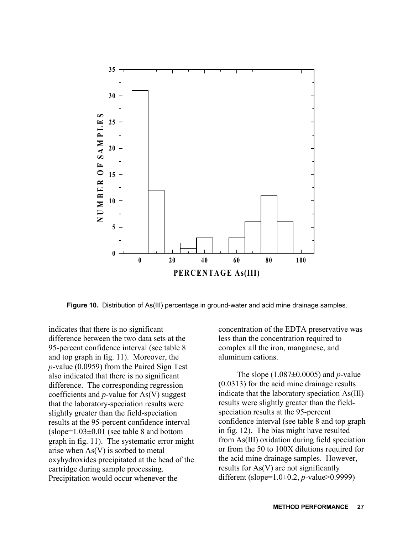

**Figure 10.** Distribution of As(III) percentage in ground-water and acid mine drainage samples.

indicates that there is no significant difference between the two data sets at the 95-percent confidence interval (see table 8 and top graph in fig. 11). Moreover, the *p*-value (0.0959) from the Paired Sign Test also indicated that there is no significant difference. The corresponding regression coefficients and *p*-value for As(V) suggest that the laboratory-speciation results were slightly greater than the field-speciation results at the 95-percent confidence interval  $(slope=1.03\pm0.01$  (see table 8 and bottom graph in fig. 11). The systematic error might arise when As(V) is sorbed to metal oxyhydroxides precipitated at the head of the cartridge during sample processing. Precipitation would occur whenever the

concentration of the EDTA preservative was less than the concentration required to complex all the iron, manganese, and aluminum cations.

The slope (1.087±0.0005) and *p*-value (0.0313) for the acid mine drainage results indicate that the laboratory speciation As(III) results were slightly greater than the fieldspeciation results at the 95-percent confidence interval (see table 8 and top graph in fig. 12). The bias might have resulted from As(III) oxidation during field speciation or from the 50 to 100X dilutions required for the acid mine drainage samples. However, results for As(V) are not significantly different (slope=1.0±0.2, *p*-value>0.9999)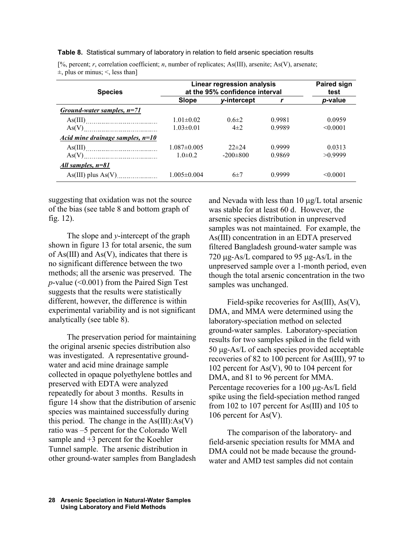**Table 8.** Statistical summary of laboratory in relation to field arsenic speciation results

| <b>Species</b>                     | Linear regression analysis<br>at the 95% confidence interval | <b>Paired sign</b><br>test |        |                 |
|------------------------------------|--------------------------------------------------------------|----------------------------|--------|-----------------|
|                                    | Slope                                                        | y-intercept                |        | <i>p</i> -value |
| Ground-water samples, $n=71$       |                                                              |                            |        |                 |
|                                    | $1.01 \pm 0.02$                                              | $0.6 \pm 2$                | 0.9981 | 0.0959          |
|                                    | $1.03 \pm 0.01$                                              | $4\pm 2$                   | 0.9989 | < 0.0001        |
| Acid mine drainage samples, $n=10$ |                                                              |                            |        |                 |
|                                    | $1.087 \pm 0.005$                                            | $22\pm 24$                 | 0.9999 | 0.0313          |
|                                    | $1.0\pm 0.2$                                                 | $-200\pm800$               | 0.9869 | >0.9999         |
| All samples, n=81                  |                                                              |                            |        |                 |
| $As(III) plus As(V)$ <sub>1</sub>  | $1.005 \pm 0.004$                                            | $6\pm7$                    | 0.9999 | < 0.0001        |

[%, percent; *r*, correlation coefficient; *n*, number of replicates; As(III), arsenite; As(V), arsenate;  $\pm$ , plus or minus;  $\le$ , less than]

suggesting that oxidation was not the source of the bias (see table 8 and bottom graph of fig. 12).

The slope and *y*-intercept of the graph shown in figure 13 for total arsenic, the sum of As(III) and As(V), indicates that there is no significant difference between the two methods; all the arsenic was preserved. The *p*-value (<0.001) from the Paired Sign Test suggests that the results were statistically different, however, the difference is within experimental variability and is not significant analytically (see table 8).

The preservation period for maintaining the original arsenic species distribution also was investigated. A representative groundwater and acid mine drainage sample collected in opaque polyethylene bottles and preserved with EDTA were analyzed repeatedly for about 3 months. Results in figure 14 show that the distribution of arsenic species was maintained successfully during this period. The change in the  $As(III):As(V)$ ratio was –5 percent for the Colorado Well sample and +3 percent for the Koehler Tunnel sample. The arsenic distribution in other ground-water samples from Bangladesh

and Nevada with less than  $10 \mu g/L$  total arsenic was stable for at least 60 d. However, the arsenic species distribution in unpreserved samples was not maintained. For example, the As(III) concentration in an EDTA preserved filtered Bangladesh ground-water sample was 720  $\mu$ g-As/L compared to 95  $\mu$ g-As/L in the unpreserved sample over a 1-month period, even though the total arsenic concentration in the two samples was unchanged.

Field-spike recoveries for As(III), As(V), DMA, and MMA were determined using the laboratory-speciation method on selected ground-water samples. Laboratory-speciation results for two samples spiked in the field with  $50 \mu$ g-As/L of each species provided acceptable recoveries of 82 to 100 percent for As(III), 97 to 102 percent for As(V), 90 to 104 percent for DMA, and 81 to 96 percent for MMA. Percentage recoveries for a  $100 \mu$ g-As/L field spike using the field-speciation method ranged from 102 to 107 percent for As(III) and 105 to 106 percent for As(V).

The comparison of the laboratory- and field-arsenic speciation results for MMA and DMA could not be made because the groundwater and AMD test samples did not contain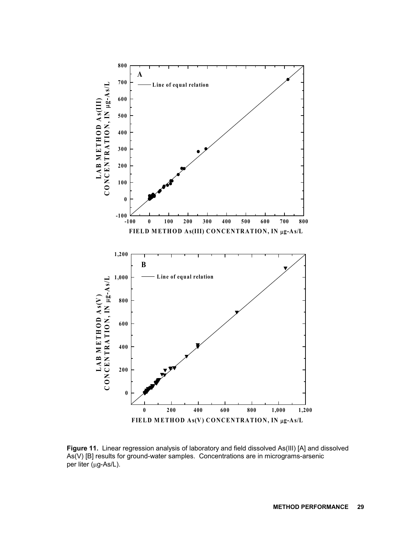

**Figure 11.** Linear regression analysis of laboratory and field dissolved As(III) [A] and dissolved As(V) [B] results for ground-water samples. Concentrations are in micrograms-arsenic per liter (µg-As/L).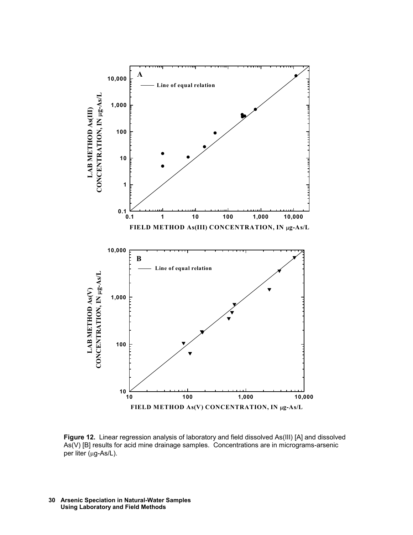

**Figure 12.** Linear regression analysis of laboratory and field dissolved As(III) [A] and dissolved As(V) [B] results for acid mine drainage samples. Concentrations are in micrograms-arsenic per liter (µg-As/L).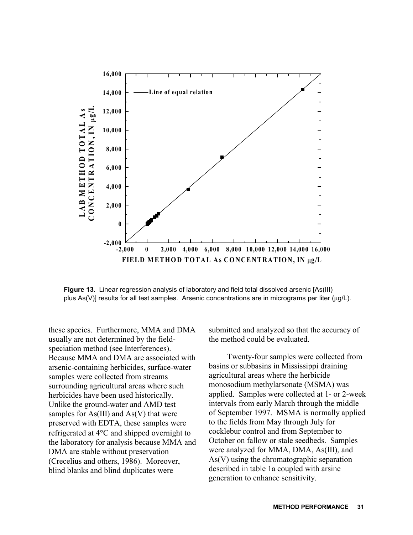

**Figure 13.** Linear regression analysis of laboratory and field total dissolved arsenic [As(III) plus As(V)] results for all test samples. Arsenic concentrations are in micrograms per liter ( $\mu$ g/L).

these species. Furthermore, MMA and DMA usually are not determined by the fieldspeciation method (see Interferences). Because MMA and DMA are associated with arsenic-containing herbicides, surface-water samples were collected from streams surrounding agricultural areas where such herbicides have been used historically. Unlike the ground-water and AMD test samples for  $As(III)$  and  $As(V)$  that were preserved with EDTA, these samples were refrigerated at 4°C and shipped overnight to the laboratory for analysis because MMA and DMA are stable without preservation (Crecelius and others, 1986). Moreover, blind blanks and blind duplicates were

submitted and analyzed so that the accuracy of the method could be evaluated.

Twenty-four samples were collected from basins or subbasins in Mississippi draining agricultural areas where the herbicide monosodium methylarsonate (MSMA) was applied. Samples were collected at 1- or 2-week intervals from early March through the middle of September 1997. MSMA is normally applied to the fields from May through July for cocklebur control and from September to October on fallow or stale seedbeds. Samples were analyzed for MMA, DMA, As(III), and As(V) using the chromatographic separation described in table 1a coupled with arsine generation to enhance sensitivity.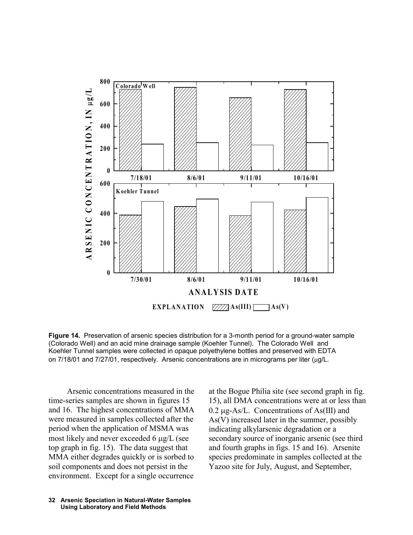

**Figure 14.** Preservation of arsenic species distribution for a 3-month period for a ground-water sample (Colorado Well) and an acid mine drainage sample (Koehler Tunnel). The Colorado Well and Koehler Tunnel samples were collected in opaque polyethylene bottles and preserved with EDTA on 7/18/01 and 7/27/01, respectively. Arsenic concentrations are in micrograms per liter (µg/L.

Arsenic concentrations measured in the time-series samples are shown in figures 15 and 16. The highest concentrations of MMA were measured in samples collected after the period when the application of MSMA was most likely and never exceeded 6  $\mu$ g/L (see top graph in fig. 15). The data suggest that MMA either degrades quickly or is sorbed to soil components and does not persist in the environment. Except for a single occurrence

As(V) increased later in the summer, possibly indicating alkylarsenic degradation or a secondary source of inorganic arsenic (see third and fourth graphs in figs. 15 and 16). Arsenite species predominate in samples collected at the Yazoo site for July, August, and September,

at the Bogue Philia site (see second graph in fig. 15), all DMA concentrations were at or less than  $0.2 \mu$ g-As/L. Concentrations of As(III) and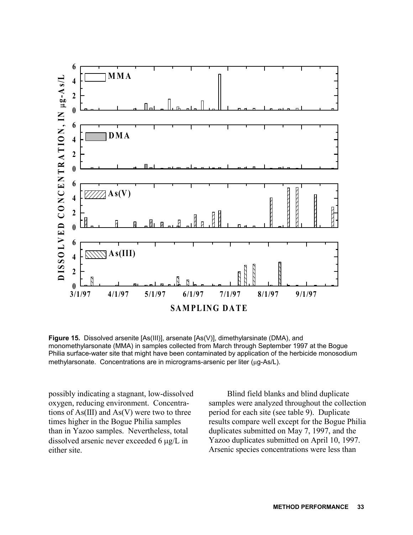

**Figure 15.** Dissolved arsenite [As(III)], arsenate [As(V)], dimethylarsinate (DMA), and monomethylarsonate (MMA) in samples collected from March through September 1997 at the Bogue Philia surface-water site that might have been contaminated by application of the herbicide monosodium methylarsonate. Concentrations are in micrograms-arsenic per liter (µg-As/L).

possibly indicating a stagnant, low-dissolved oxygen, reducing environment. Concentrations of  $As(III)$  and  $As(V)$  were two to three times higher in the Bogue Philia samples than in Yazoo samples. Nevertheless, total dissolved arsenic never exceeded 6  $\mu$ g/L in either site.

Blind field blanks and blind duplicate samples were analyzed throughout the collection period for each site (see table 9). Duplicate results compare well except for the Bogue Philia duplicates submitted on May 7, 1997, and the Yazoo duplicates submitted on April 10, 1997. Arsenic species concentrations were less than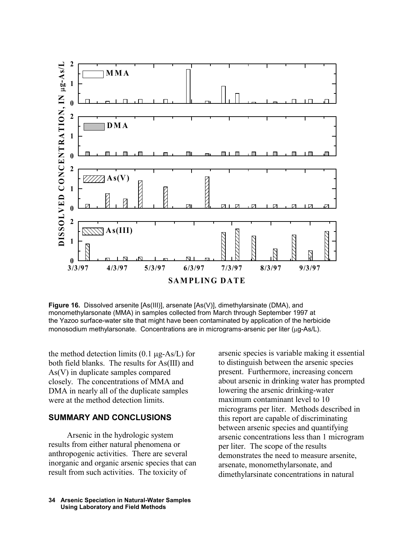

**Figure 16.** Dissolved arsenite [As(III)], arsenate [As(V)], dimethylarsinate (DMA), and monomethylarsonate (MMA) in samples collected from March through September 1997 at the Yazoo surface-water site that might have been contaminated by application of the herbicide monosodium methylarsonate. Concentrations are in micrograms-arsenic per liter  $(\mu q$ -As/L).

the method detection limits  $(0.1 \mu g - As/L)$  for both field blanks. The results for As(III) and As(V) in duplicate samples compared closely. The concentrations of MMA and DMA in nearly all of the duplicate samples were at the method detection limits.

### **SUMMARY AND CONCLUSIONS**

Arsenic in the hydrologic system results from either natural phenomena or anthropogenic activities. There are several inorganic and organic arsenic species that can result from such activities. The toxicity of

arsenic species is variable making it essential to distinguish between the arsenic species present. Furthermore, increasing concern about arsenic in drinking water has prompted lowering the arsenic drinking-water maximum contaminant level to 10 micrograms per liter. Methods described in this report are capable of discriminating between arsenic species and quantifying arsenic concentrations less than 1 microgram per liter. The scope of the results demonstrates the need to measure arsenite, arsenate, monomethylarsonate, and dimethylarsinate concentrations in natural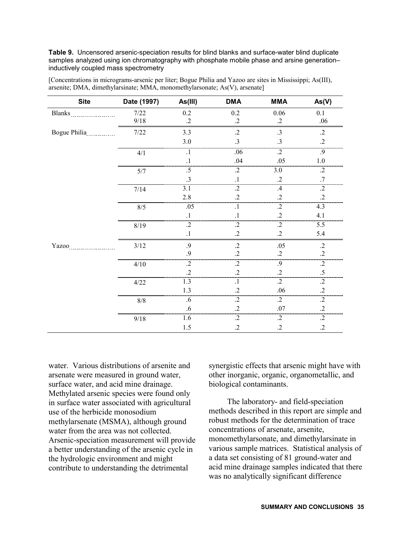**Table 9.** Uncensored arsenic-speciation results for blind blanks and surface-water blind duplicate samples analyzed using ion chromatography with phosphate mobile phase and arsine generation– inductively coupled mass spectrometry

| <b>Site</b>                            | Date (1997) | As(III)          | <b>DMA</b>      | <b>MMA</b>      | As(V)           |
|----------------------------------------|-------------|------------------|-----------------|-----------------|-----------------|
| Blanks                                 | $7/22$      | $0.2\,$          | 0.2             | 0.06            | 0.1             |
|                                        | $9/18$      | $\cdot$ .2       | $\cdot$ .2      | $\cdot$         | .06             |
| Bogue Philia                           | $7/22$      | 3.3              | $\cdot$ .2      | .3              | $\cdot$ .2      |
|                                        |             | $3.0\,$          | $.3\phantom{0}$ | .3              | $\cdot$         |
|                                        | $4/1\,$     | $\cdot$          | .06             | $\overline{.2}$ | $\overline{.9}$ |
|                                        |             | $\cdot^1$        | .04             | .05             | $1.0\,$         |
|                                        | $5/7$       | .5               | $\cdot$ .2      | $3.0\,$         | $\cdot$         |
|                                        |             | $\cdot$ 3        | $\cdot$         | $\cdot$         | .7              |
|                                        | 7/14        | 3.1              | $\cdot$         | .4              | $\overline{.2}$ |
|                                        |             | 2.8              | $\cdot$         | $\cdot$         | $\cdot$         |
|                                        | 8/5         | .05              | $\cdot$ 1       | $\overline{.2}$ | 4.3             |
|                                        |             | $\cdot^1$        | $\cdot^1$       | $\cdot$         | 4.1             |
|                                        | 8/19        | $\overline{.2}$  | $\overline{.2}$ | $\cdot$         | 5.5             |
|                                        |             | $\cdot$          | $\cdot$         | $\cdot$ .2      | 5.4             |
| $Yazoo$ <sub>1111111111111111111</sub> | $3/12$      | .9               | $\cdot$ .2      | .05             | $\cdot$ .2      |
|                                        |             | .9               | $\cdot$         | $\cdot$ 2       | $\cdot$ .2      |
|                                        | 4/10        | $\overline{.2}$  | $\overline{.2}$ | $\overline{.9}$ | $\overline{.2}$ |
|                                        |             | $\cdot$          | $\cdot$         | $\cdot$ .2      | $.5\,$          |
|                                        | 4/22        | $\overline{1.3}$ | $\cdot$ 1       | $\cdot$ .2      | $\cdot$ .2      |
|                                        |             | 1.3              | $\cdot$         | .06             | $\cdot$         |
|                                        | $8/8$       | .6               | $\cdot$         | $\cdot$ .2      | $\cdot$ .2      |
|                                        |             | .6               | $\cdot$         | $.07\,$         | $\cdot$ .2      |
|                                        | 9/18        | 1.6              | $\overline{.2}$ | $\cdot$ .2      | $\cdot$ .2      |
|                                        |             | $1.5$            | $\cdot$         | $\cdot$         | $\cdot$         |

[Concentrations in micrograms-arsenic per liter; Bogue Philia and Yazoo are sites in Mississippi; As(III), arsenite; DMA, dimethylarsinate; MMA, monomethylarsonate; As(V), arsenate]

water. Various distributions of arsenite and arsenate were measured in ground water, surface water, and acid mine drainage. Methylated arsenic species were found only in surface water associated with agricultural use of the herbicide monosodium methylarsenate (MSMA), although ground water from the area was not collected. Arsenic-speciation measurement will provide a better understanding of the arsenic cycle in the hydrologic environment and might contribute to understanding the detrimental

synergistic effects that arsenic might have with other inorganic, organic, organometallic, and biological contaminants.

The laboratory- and field-speciation methods described in this report are simple and robust methods for the determination of trace concentrations of arsenate, arsenite, monomethylarsonate, and dimethylarsinate in various sample matrices. Statistical analysis of a data set consisting of 81 ground-water and acid mine drainage samples indicated that there was no analytically significant difference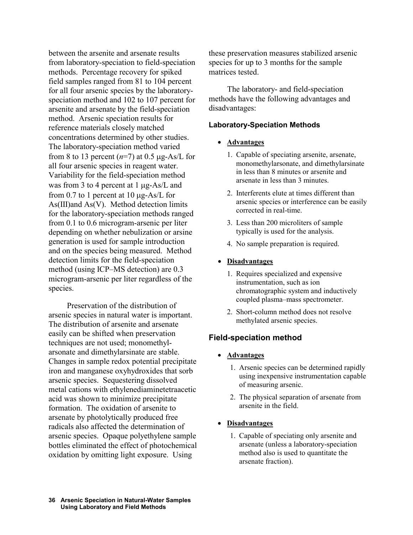between the arsenite and arsenate results from laboratory-speciation to field-speciation methods. Percentage recovery for spiked field samples ranged from 81 to 104 percent for all four arsenic species by the laboratoryspeciation method and 102 to 107 percent for arsenite and arsenate by the field-speciation method. Arsenic speciation results for reference materials closely matched concentrations determined by other studies. The laboratory-speciation method varied from 8 to 13 percent  $(n=7)$  at 0.5  $\mu$ g-As/L for all four arsenic species in reagent water. Variability for the field-speciation method was from 3 to 4 percent at 1  $\mu$ g-As/L and from 0.7 to 1 percent at 10  $\mu$ g-As/L for As(III)and As(V). Method detection limits for the laboratory-speciation methods ranged from 0.1 to 0.6 microgram-arsenic per liter depending on whether nebulization or arsine generation is used for sample introduction and on the species being measured. Method detection limits for the field-speciation method (using ICP–MS detection) are 0.3 microgram-arsenic per liter regardless of the species.

Preservation of the distribution of arsenic species in natural water is important. The distribution of arsenite and arsenate easily can be shifted when preservation techniques are not used; monomethylarsonate and dimethylarsinate are stable. Changes in sample redox potential precipitate iron and manganese oxyhydroxides that sorb arsenic species. Sequestering dissolved metal cations with ethylenediaminetetraacetic acid was shown to minimize precipitate formation. The oxidation of arsenite to arsenate by photolytically produced free radicals also affected the determination of arsenic species. Opaque polyethylene sample bottles eliminated the effect of photochemical oxidation by omitting light exposure. Using

these preservation measures stabilized arsenic species for up to 3 months for the sample matrices tested.

The laboratory- and field-speciation methods have the following advantages and disadvantages:

### **Laboratory-Speciation Methods**

### - **Advantages**

- 1. Capable of speciating arsenite, arsenate, monomethylarsonate, and dimethylarsinate in less than 8 minutes or arsenite and arsenate in less than 3 minutes.
- 2. Interferents elute at times different than arsenic species or interference can be easily corrected in real-time.
- 3. Less than 200 microliters of sample typically is used for the analysis.
- 4. No sample preparation is required.

### - **Disadvantages**

- 1. Requires specialized and expensive instrumentation, such as ion chromatographic system and inductively coupled plasma–mass spectrometer.
- 2. Short-column method does not resolve methylated arsenic species.

### **Field-speciation method**

### - **Advantages**

- 1. Arsenic species can be determined rapidly using inexpensive instrumentation capable of measuring arsenic.
- 2. The physical separation of arsenate from arsenite in the field.

#### $\bullet$ **Disadvantages**

1. Capable of speciating only arsenite and arsenate (unless a laboratory-speciation method also is used to quantitate the arsenate fraction).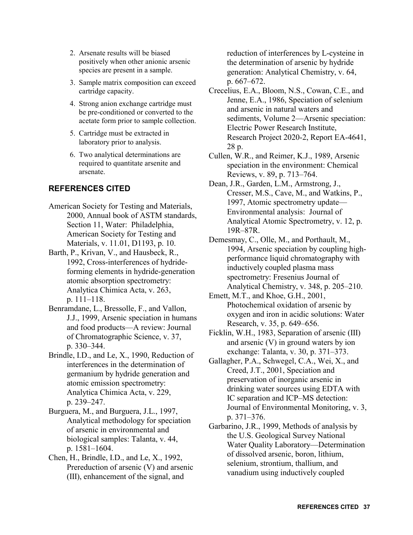- 2. Arsenate results will be biased positively when other anionic arsenic species are present in a sample.
- 3. Sample matrix composition can exceed cartridge capacity.
- 4. Strong anion exchange cartridge must be pre-conditioned or converted to the acetate form prior to sample collection.
- 5. Cartridge must be extracted in laboratory prior to analysis.
- 6. Two analytical determinations are required to quantitate arsenite and arsenate.

### **REFERENCES CITED**

- American Society for Testing and Materials, 2000, Annual book of ASTM standards, Section 11, Water: Philadelphia, American Society for Testing and Materials, v. 11.01, D1193, p. 10.
- Barth, P., Krivan, V., and Hausbeck, R., 1992, Cross-interferences of hydrideforming elements in hydride-generation atomic absorption spectrometry: Analytica Chimica Acta, v. 263, p. 111–118.
- Benramdane, L., Bressolle, F., and Vallon, J.J., 1999, Arsenic speciation in humans and food products—A review: Journal of Chromatographic Science, v. 37, p. 330–344.
- Brindle, I.D., and Le, X., 1990, Reduction of interferences in the determination of germanium by hydride generation and atomic emission spectrometry: Analytica Chimica Acta, v. 229, p. 239–247.
- Burguera, M., and Burguera, J.L., 1997, Analytical methodology for speciation of arsenic in environmental and biological samples: Talanta, v. 44, p. 1581–1604.
- Chen, H., Brindle, I.D., and Le, X., 1992, Prereduction of arsenic (V) and arsenic (III), enhancement of the signal, and

reduction of interferences by L-cysteine in the determination of arsenic by hydride generation: Analytical Chemistry, v. 64, p. 667–672.

- Crecelius, E.A., Bloom, N.S., Cowan, C.E., and Jenne, E.A., 1986, Speciation of selenium and arsenic in natural waters and sediments, Volume 2—Arsenic speciation: Electric Power Research Institute, Research Project 2020-2, Report EA-4641, 28 p.
- Cullen, W.R., and Reimer, K.J., 1989, Arsenic speciation in the environment: Chemical Reviews, v. 89, p. 713–764.
- Dean, J.R., Garden, L.M., Armstrong, J., Cresser, M.S., Cave, M., and Watkins, P., 1997, Atomic spectrometry update— Environmental analysis: Journal of Analytical Atomic Spectrometry, v. 12, p. 19R–87R.
- Demesmay, C., Olle, M., and Porthault, M., 1994, Arsenic speciation by coupling highperformance liquid chromatography with inductively coupled plasma mass spectrometry: Fresenius Journal of Analytical Chemistry, v. 348, p. 205–210.
- Emett, M.T., and Khoe, G.H., 2001, Photochemical oxidation of arsenic by oxygen and iron in acidic solutions: Water Research, v. 35, p. 649–656.
- Ficklin, W.H., 1983, Separation of arsenic (III) and arsenic (V) in ground waters by ion exchange: Talanta, v. 30, p. 371–373.
- Gallagher, P.A., Schwegel, C.A., Wei, X., and Creed, J.T., 2001, Speciation and preservation of inorganic arsenic in drinking water sources using EDTA with IC separation and ICP–MS detection: Journal of Environmental Monitoring, v. 3, p. 371–376.
- Garbarino, J.R., 1999, Methods of analysis by the U.S. Geological Survey National Water Quality Laboratory—Determination of dissolved arsenic, boron, lithium, selenium, strontium, thallium, and vanadium using inductively coupled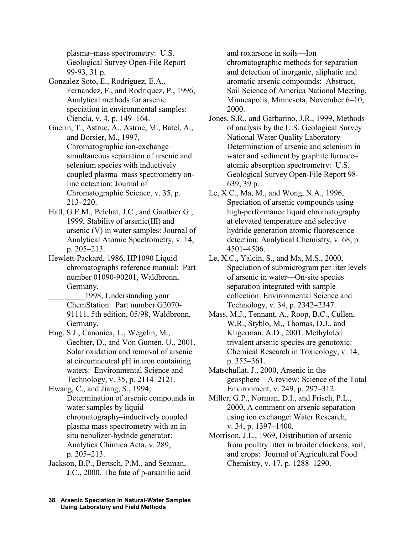plasma–mass spectrometry: U.S. Geological Survey Open-File Report 99-93, 31 p.

- Gonzalez Soto, E., Rodriguez, E.A., Fernandez, F., and Rodriquez, P., 1996, Analytical methods for arsenic speciation in environmental samples: Ciencia, v. 4, p. 149–164.
- Guerin, T., Astruc, A., Astruc, M., Batel, A., and Borsier, M., 1997, Chromatographic ion-exchange simultaneous separation of arsenic and selenium species with inductively coupled plasma–mass spectrometry online detection: Journal of Chromatographic Science, v. 35, p. 213–220.
- Hall, G.E.M., Pelchat, J.C., and Gauthier G., 1999, Stability of arsenic(III) and arsenic (V) in water samples: Journal of Analytical Atomic Spectrometry, v. 14, p. 205–213.
- Hewlett-Packard, 1986, HP1090 Liquid chromatographs reference manual: Part number 01090-90201, Waldbronn, Germany.
	- \_\_\_\_\_\_\_\_\_1998, Understanding your ChemStation: Part number G2070- 91111, 5th edition, 05/98, Waldbronn, Germany.
- Hug, S.J., Canonica, L., Wegelin, M., Gechter, D., and Von Gunten, U., 2001, Solar oxidation and removal of arsenic at circumneutral pH in iron containing waters: Environmental Science and Technology, v. 35, p. 2114–2121.
- Hwang, C., and Jiang, S., 1994, Determination of arsenic compounds in water samples by liquid chromatography–inductively coupled plasma mass spectrometry with an in situ nebulizer-hydride generator: Analytica Chimica Acta, v. 289, p. 205–213.
- Jackson, B.P., Bertsch, P.M., and Seaman, J.C., 2000, The fate of p-arsanilic acid

and roxarsone in soils—Ion chromatographic methods for separation and detection of inorganic, aliphatic and aromatic arsenic compounds: Abstract, Soil Science of America National Meeting, Minneapolis, Minnesota, November 6–10, 2000.

- Jones, S.R., and Garbarino, J.R., 1999, Methods of analysis by the U.S. Geological Survey National Water Quality Laboratory— Determination of arsenic and selenium in water and sediment by graphite furnace– atomic absorption spectrometry: U.S. Geological Survey Open-File Report 98- 639, 39 p.
- Le, X.C., Ma, M., and Wong, N.A., 1996, Speciation of arsenic compounds using high-performance liquid chromatography at elevated temperature and selective hydride generation atomic fluorescence detection: Analytical Chemistry, v. 68, p. 4501–4506.
- Le, X.C., Yalcin, S., and Ma, M.S., 2000, Speciation of submicrogram per liter levels of arsenic in water—On-site species separation integrated with sample collection: Environmental Science and Technology, v. 34, p. 2342–2347.
- Mass, M.J., Tennant, A., Roop, B.C., Cullen, W.R., Styblo, M., Thomas, D.J., and Kligerman, A.D., 2001, Methylated trivalent arsenic species are genotoxic: Chemical Research in Toxicology, v. 14, p. 355–361.
- Matschullat, J., 2000, Arsenic in the geosphere—A review: Science of the Total Environment, v. 249, p. 297–312.
- Miller, G.P., Norman, D.I., and Frisch, P.L., 2000, A comment on arsenic separation using ion exchange: Water Research, v. 34, p. 1397–1400.
- Morrison, J.L., 1969, Distribution of arsenic from poultry litter in broiler chickens, soil, and crops: Journal of Agricultural Food Chemistry, v. 17, p. 1288–1290.
- **Arsenic Speciation in Natural-Water Samples 38 Using Laboratory and Field Methods**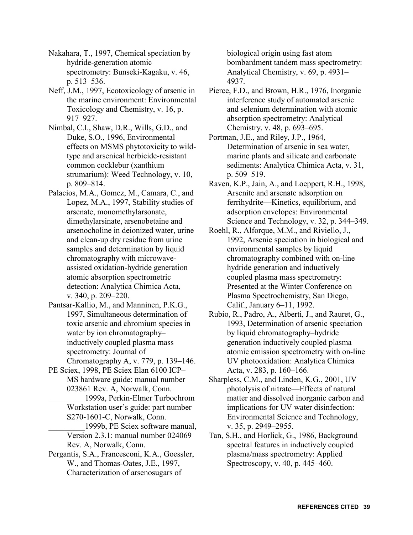Nakahara, T., 1997, Chemical speciation by hydride-generation atomic spectrometry: Bunseki-Kagaku, v. 46, p. 513–536.

Neff, J.M., 1997, Ecotoxicology of arsenic in the marine environment: Environmental Toxicology and Chemistry, v. 16, p. 917–927.

Nimbal, C.I., Shaw, D.R., Wills, G.D., and Duke, S.O., 1996, Environmental effects on MSMS phytotoxicity to wildtype and arsenical herbicide-resistant common cocklebur (xanthium strumarium): Weed Technology, v. 10, p. 809–814.

- Palacios, M.A., Gomez, M., Camara, C., and Lopez, M.A., 1997, Stability studies of arsenate, monomethylarsonate, dimethylarsinate, arsenobetaine and arsenocholine in deionized water, urine and clean-up dry residue from urine samples and determination by liquid chromatography with microwaveassisted oxidation-hydride generation atomic absorption spectrometric detection: Analytica Chimica Acta, v. 340, p. 209–220.
- Pantsar-Kallio, M., and Manninen, P.K.G., 1997, Simultaneous determination of toxic arsenic and chromium species in water by ion chromatography– inductively coupled plasma mass spectrometry: Journal of Chromatography A, v. 779, p. 139–146.

PE Sciex, 1998, PE Sciex Elan 6100 ICP– MS hardware guide: manual number 023861 Rev. A, Norwalk, Conn.

\_\_\_\_\_\_\_\_\_1999a, Perkin-Elmer Turbochrom Workstation user's guide: part number S270-1601-C, Norwalk, Conn.

\_\_\_\_\_\_\_\_\_1999b, PE Sciex software manual, Version 2.3.1: manual number 024069 Rev. A, Norwalk, Conn.

Pergantis, S.A., Francesconi, K.A., Goessler, W., and Thomas-Oates, J.E., 1997, Characterization of arsenosugars of

biological origin using fast atom bombardment tandem mass spectrometry: Analytical Chemistry, v. 69, p. 4931– 4937.

Pierce, F.D., and Brown, H.R., 1976, Inorganic interference study of automated arsenic and selenium determination with atomic absorption spectrometry: Analytical Chemistry, v. 48, p. 693–695.

Portman, J.E., and Riley, J.P., 1964, Determination of arsenic in sea water, marine plants and silicate and carbonate sediments: Analytica Chimica Acta, v. 31, p. 509–519.

Raven, K.P., Jain, A., and Loeppert, R.H., 1998, Arsenite and arsenate adsorption on ferrihydrite—Kinetics, equilibrium, and adsorption envelopes: Environmental Science and Technology, v. 32, p. 344–349.

Roehl, R., Alforque, M.M., and Riviello, J., 1992, Arsenic speciation in biological and environmental samples by liquid chromatography combined with on-line hydride generation and inductively coupled plasma mass spectrometry: Presented at the Winter Conference on Plasma Spectrochemistry, San Diego, Calif., January 6–11, 1992.

Rubio, R., Padro, A., Alberti, J., and Rauret, G., 1993, Determination of arsenic speciation by liquid chromatography–hydride generation inductively coupled plasma atomic emission spectrometry with on-line UV photooxidation: Analytica Chimica Acta, v. 283, p. 160–166.

Sharpless, C.M., and Linden, K.G., 2001, UV photolysis of nitrate—Effects of natural matter and dissolved inorganic carbon and implications for UV water disinfection: Environmental Science and Technology, v. 35, p. 2949–2955.

Tan, S.H., and Horlick, G., 1986, Background spectral features in inductively coupled plasma/mass spectrometry: Applied Spectroscopy, v. 40, p. 445–460.